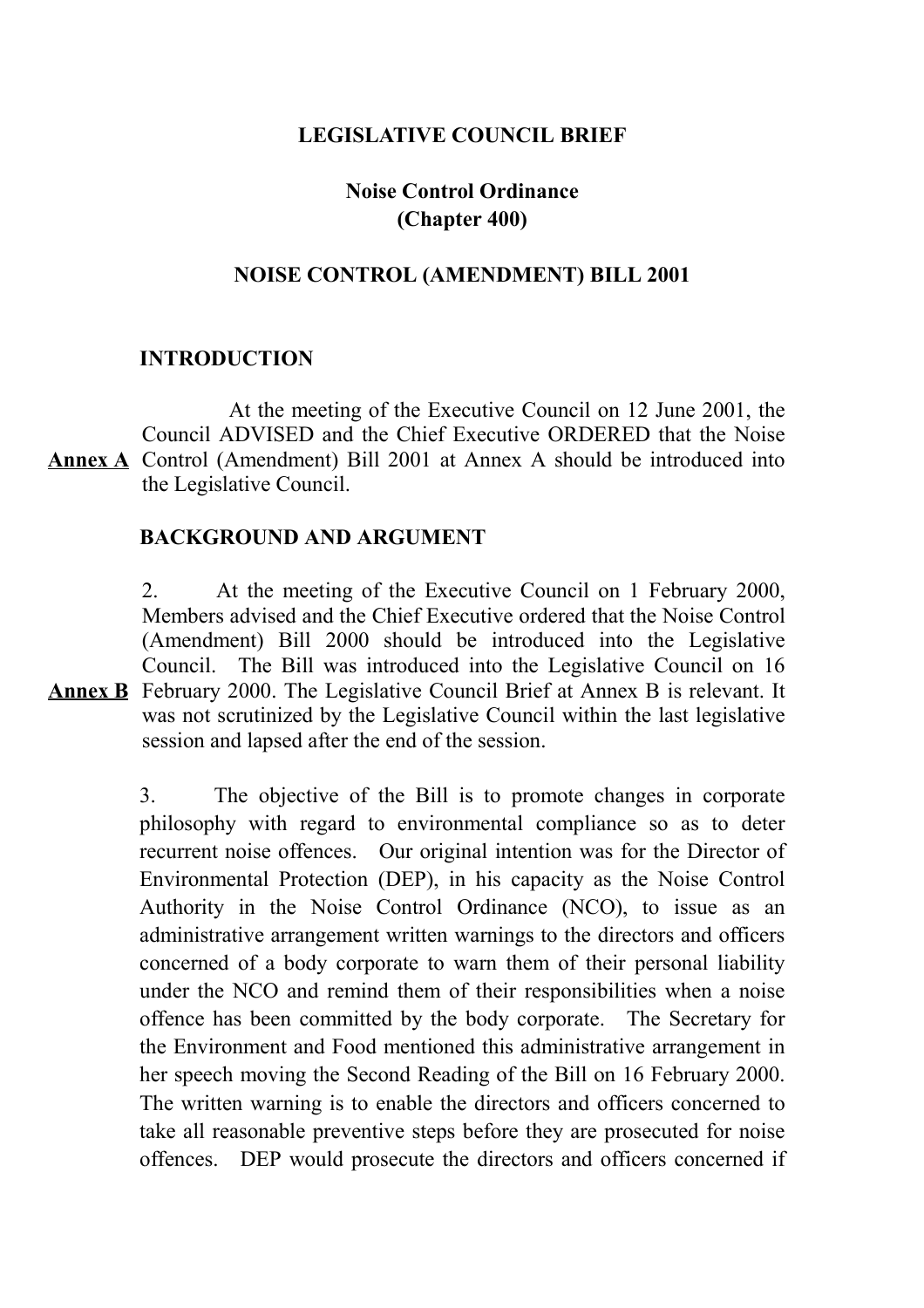## **LEGISLATIVE COUNCIL BRIEF**

# **Noise Control Ordinance (Chapter 400)**

# **NOISE CONTROL (AMENDMENT) BILL 2001**

## **INTRODUCTION**

**Annex A** Control (Amendment) Bill 2001 at Annex A should be introduced into At the meeting of the Executive Council on 12 June 2001, the Council ADVISED and the Chief Executive ORDERED that the Noise the Legislative Council.

## **BACKGROUND AND ARGUMENT**

**Annex B** February 2000. The Legislative Council Brief at Annex B is relevant. It 2. At the meeting of the Executive Council on 1 February 2000, Members advised and the Chief Executive ordered that the Noise Control (Amendment) Bill 2000 should be introduced into the Legislative Council. The Bill was introduced into the Legislative Council on 16 was not scrutinized by the Legislative Council within the last legislative session and lapsed after the end of the session.

> 3. The objective of the Bill is to promote changes in corporate philosophy with regard to environmental compliance so as to deter recurrent noise offences. Our original intention was for the Director of Environmental Protection (DEP), in his capacity as the Noise Control Authority in the Noise Control Ordinance (NCO), to issue as an administrative arrangement written warnings to the directors and officers concerned of a body corporate to warn them of their personal liability under the NCO and remind them of their responsibilities when a noise offence has been committed by the body corporate. The Secretary for the Environment and Food mentioned this administrative arrangement in her speech moving the Second Reading of the Bill on 16 February 2000. The written warning is to enable the directors and officers concerned to take all reasonable preventive steps before they are prosecuted for noise offences. DEP would prosecute the directors and officers concerned if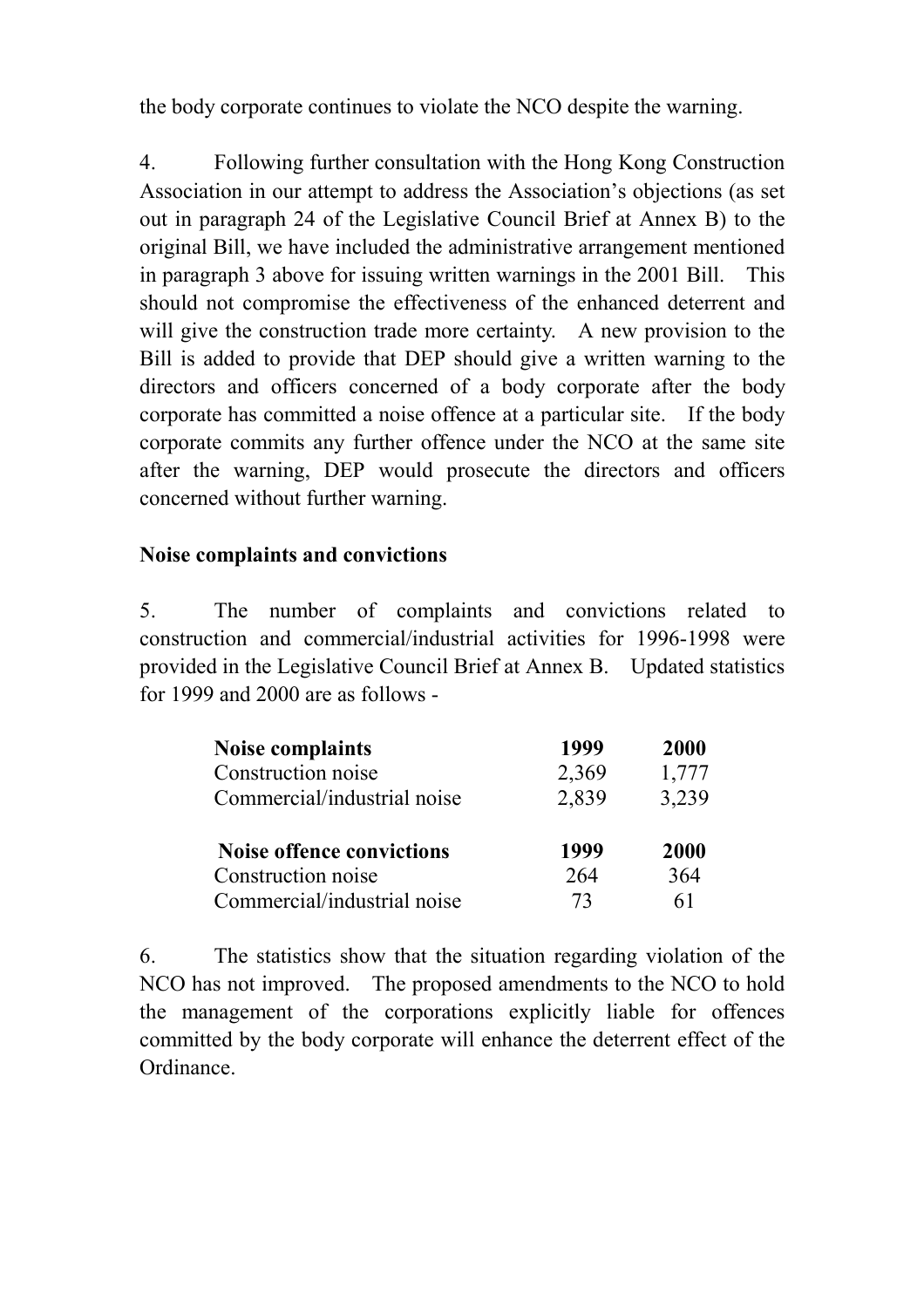the body corporate continues to violate the NCO despite the warning.

4. Following further consultation with the Hong Kong Construction Association in our attempt to address the Association's objections (as set out in paragraph 24 of the Legislative Council Brief at Annex B) to the original Bill, we have included the administrative arrangement mentioned in paragraph 3 above for issuing written warnings in the 2001 Bill. This should not compromise the effectiveness of the enhanced deterrent and will give the construction trade more certainty. A new provision to the Bill is added to provide that DEP should give a written warning to the directors and officers concerned of a body corporate after the body corporate has committed a noise offence at a particular site. If the body corporate commits any further offence under the NCO at the same site after the warning, DEP would prosecute the directors and officers concerned without further warning.

# **Noise complaints and convictions**

5. The number of complaints and convictions related to construction and commercial/industrial activities for 1996-1998 were provided in the Legislative Council Brief at Annex B. Updated statistics for 1999 and 2000 are as follows -

| <b>Noise complaints</b>          | 1999  | <b>2000</b> |
|----------------------------------|-------|-------------|
| Construction noise               | 2,369 | 1,777       |
| Commercial/industrial noise      | 2,839 | 3,239       |
| <b>Noise offence convictions</b> | 1999  | 2000        |
| Construction noise               | 264   | 364         |
| Commercial/industrial noise      | 73    | 61          |

6. The statistics show that the situation regarding violation of the NCO has not improved. The proposed amendments to the NCO to hold the management of the corporations explicitly liable for offences committed by the body corporate will enhance the deterrent effect of the Ordinance.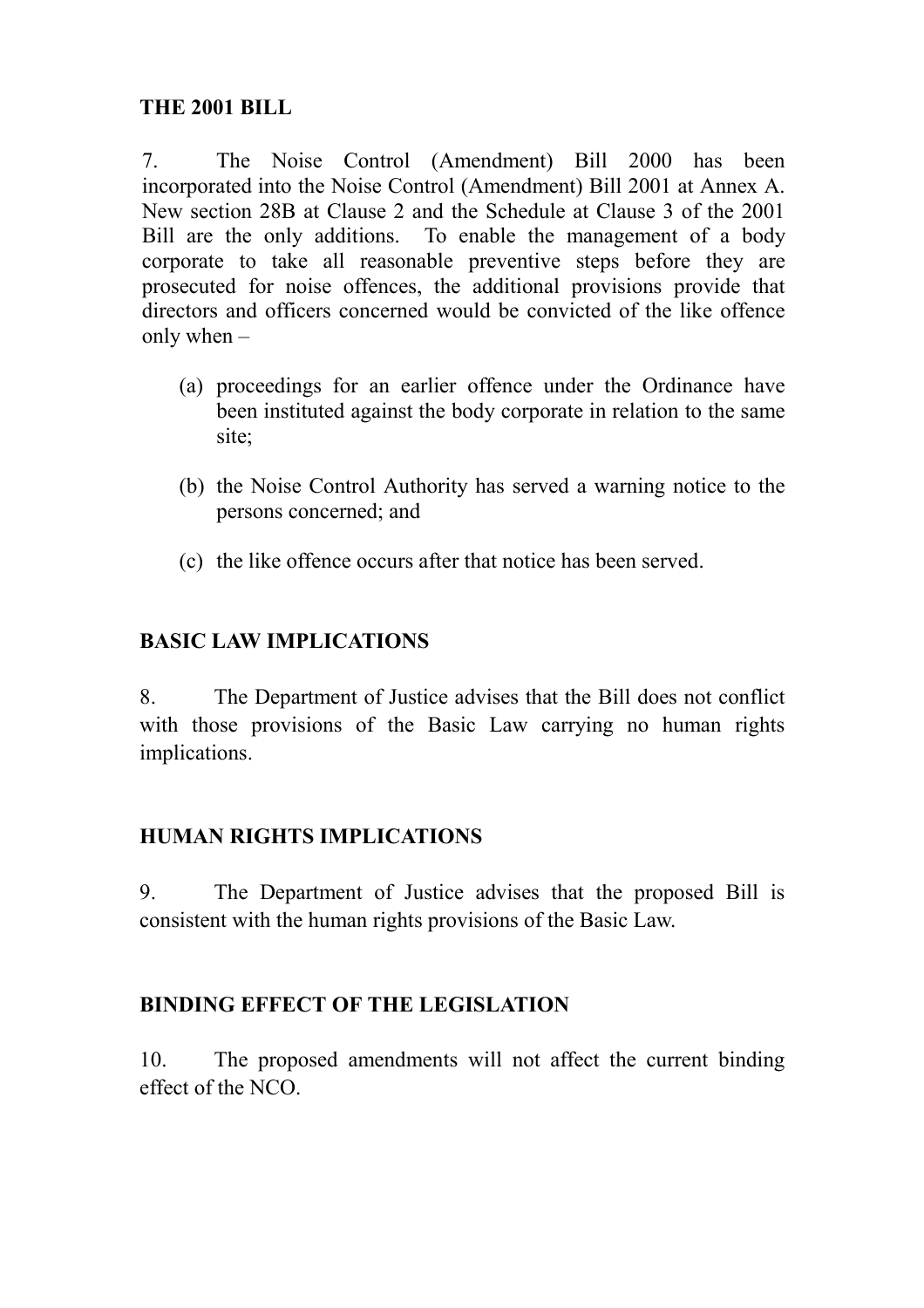7. The Noise Control (Amendment) Bill 2000 has been incorporated into the Noise Control (Amendment) Bill 2001 at Annex A. New section 28B at Clause 2 and the Schedule at Clause 3 of the 2001 Bill are the only additions. To enable the management of a body corporate to take all reasonable preventive steps before they are prosecuted for noise offences, the additional provisions provide that directors and officers concerned would be convicted of the like offence only when –

- (a) proceedings for an earlier offence under the Ordinance have been instituted against the body corporate in relation to the same site;
- (b) the Noise Control Authority has served a warning notice to the persons concerned; and
- (c) the like offence occurs after that notice has been served.

# **BASIC LAW IMPLICATIONS**

8. The Department of Justice advises that the Bill does not conflict with those provisions of the Basic Law carrying no human rights implications.

# **HUMAN RIGHTS IMPLICATIONS**

9. The Department of Justice advises that the proposed Bill is consistent with the human rights provisions of the Basic Law.

# **BINDING EFFECT OF THE LEGISLATION**

10. The proposed amendments will not affect the current binding effect of the NCO.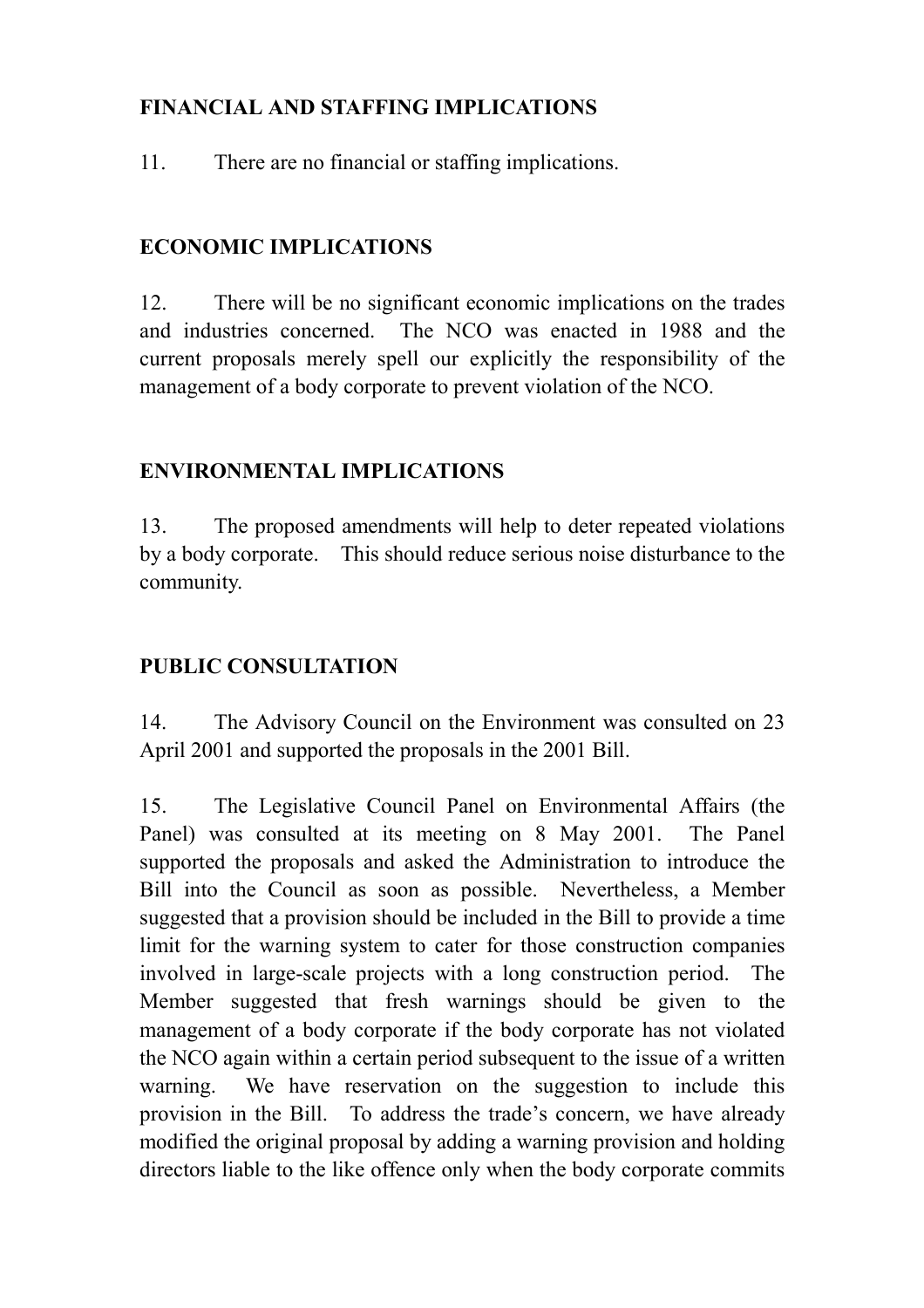# **FINANCIAL AND STAFFING IMPLICATIONS**

11. There are no financial or staffing implications.

# **ECONOMIC IMPLICATIONS**

12. There will be no significant economic implications on the trades and industries concerned. The NCO was enacted in 1988 and the current proposals merely spell our explicitly the responsibility of the management of a body corporate to prevent violation of the NCO.

# **ENVIRONMENTAL IMPLICATIONS**

13. The proposed amendments will help to deter repeated violations by a body corporate. This should reduce serious noise disturbance to the community.

# **PUBLIC CONSULTATION**

14. The Advisory Council on the Environment was consulted on 23 April 2001 and supported the proposals in the 2001 Bill.

15. The Legislative Council Panel on Environmental Affairs (the Panel) was consulted at its meeting on 8 May 2001. The Panel supported the proposals and asked the Administration to introduce the Bill into the Council as soon as possible. Nevertheless, a Member suggested that a provision should be included in the Bill to provide a time limit for the warning system to cater for those construction companies involved in large-scale projects with a long construction period. The Member suggested that fresh warnings should be given to the management of a body corporate if the body corporate has not violated the NCO again within a certain period subsequent to the issue of a written warning. We have reservation on the suggestion to include this provision in the Bill. To address the trade's concern, we have already modified the original proposal by adding a warning provision and holding directors liable to the like offence only when the body corporate commits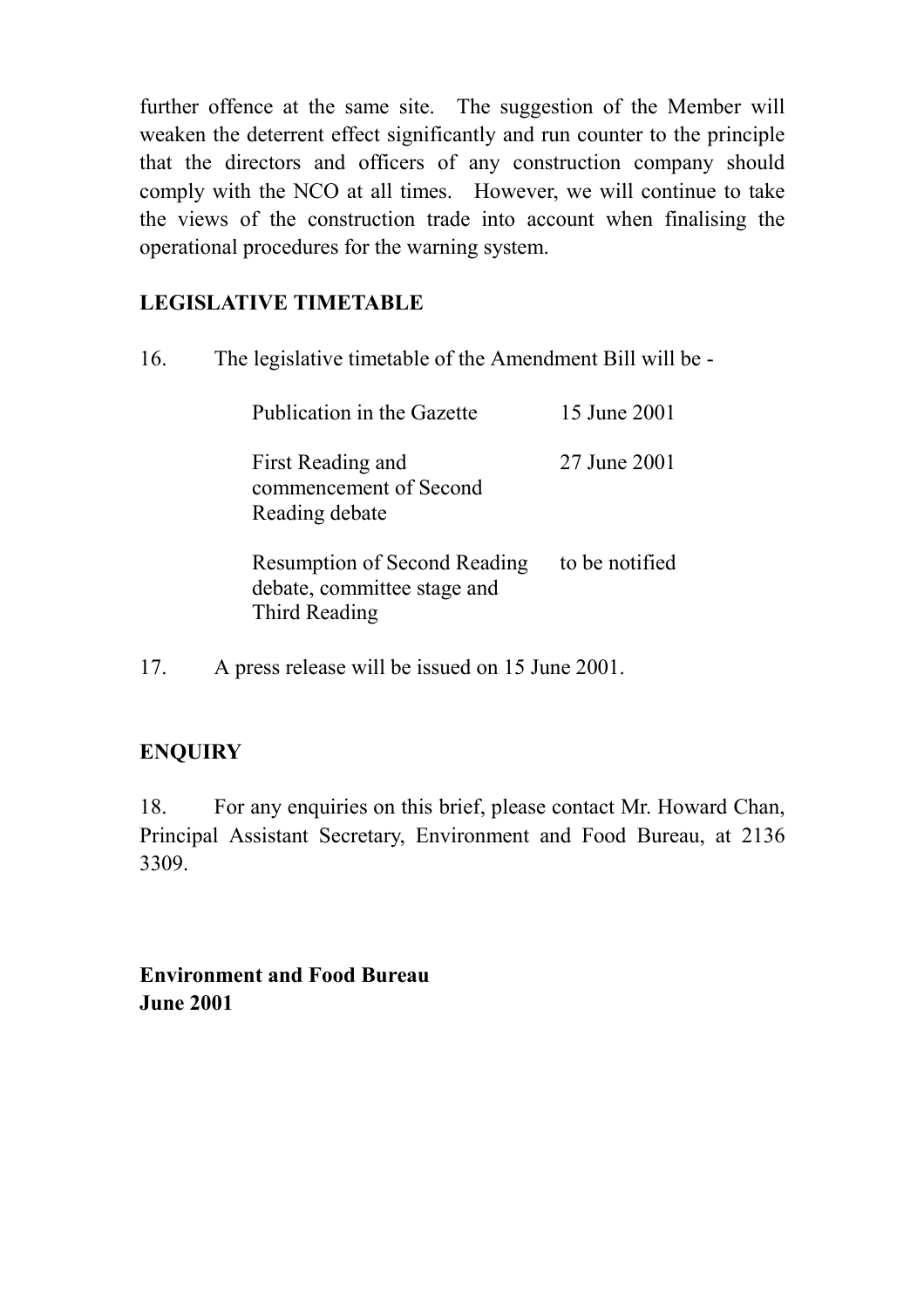further offence at the same site. The suggestion of the Member will weaken the deterrent effect significantly and run counter to the principle that the directors and officers of any construction company should comply with the NCO at all times. However, we will continue to take the views of the construction trade into account when finalising the operational procedures for the warning system.

# **LEGISLATIVE TIMETABLE**

16. The legislative timetable of the Amendment Bill will be -

| Publication in the Gazette                                                          | 15 June 2001   |
|-------------------------------------------------------------------------------------|----------------|
| First Reading and<br>commencement of Second<br>Reading debate                       | 27 June 2001   |
| <b>Resumption of Second Reading</b><br>debate, committee stage and<br>Third Reading | to be notified |

17. A press release will be issued on 15 June 2001.

# **ENQUIRY**

18. For any enquiries on this brief, please contact Mr. Howard Chan, Principal Assistant Secretary, Environment and Food Bureau, at 2136 3309.

**Environment and Food Bureau June 2001**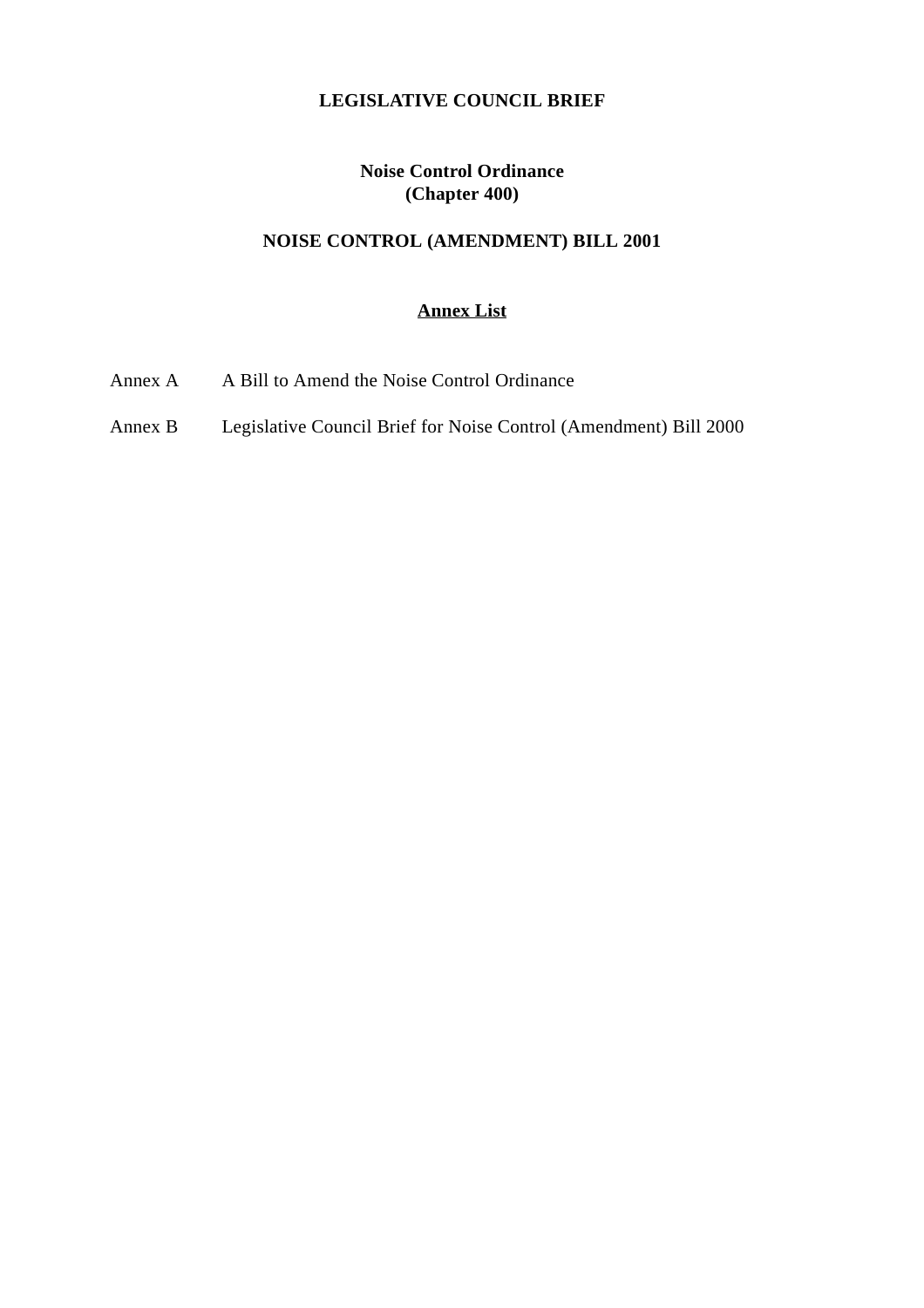### **LEGISLATIVE COUNCIL BRIEF**

## **Noise Control Ordinance (Chapter 400)**

# **NOISE CONTROL (AMENDMENT) BILL 2001**

## **Annex List**

- Annex A A Bill to Amend the Noise Control Ordinance
- Annex B Legislative Council Brief for Noise Control (Amendment) Bill 2000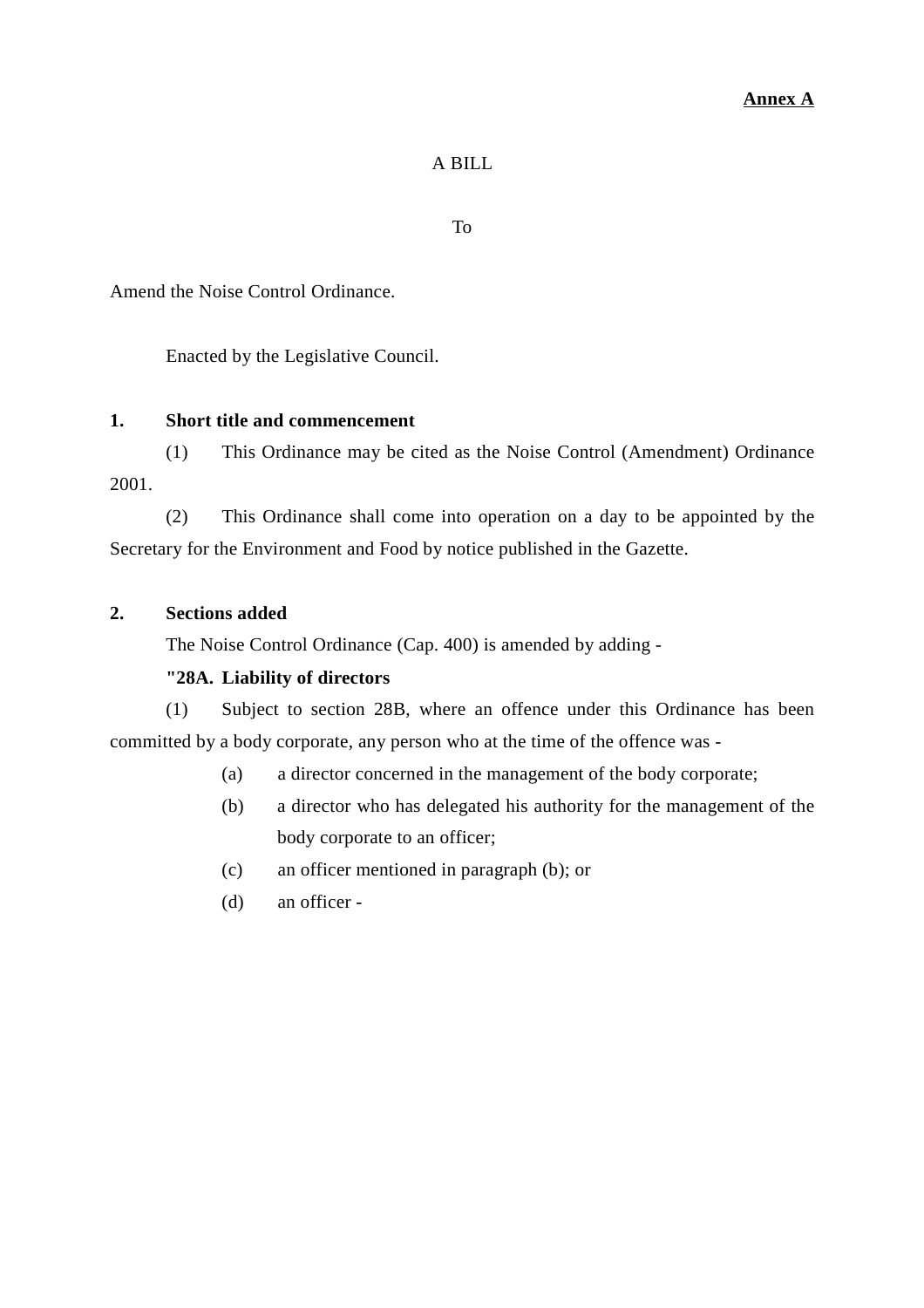#### **Annex A**

### A BILL

To

Amend the Noise Control Ordinance.

Enacted by the Legislative Council.

### **1. Short title and commencement**

(1) This Ordinance may be cited as the Noise Control (Amendment) Ordinance 2001.

(2) This Ordinance shall come into operation on a day to be appointed by the Secretary for the Environment and Food by notice published in the Gazette.

#### **2. Sections added**

The Noise Control Ordinance (Cap. 400) is amended by adding -

#### **"28A. Liability of directors**

(1) Subject to section 28B, where an offence under this Ordinance has been committed by a body corporate, any person who at the time of the offence was -

- (a) a director concerned in the management of the body corporate;
- (b) a director who has delegated his authority for the management of the body corporate to an officer;
- (c) an officer mentioned in paragraph (b); or
- (d) an officer -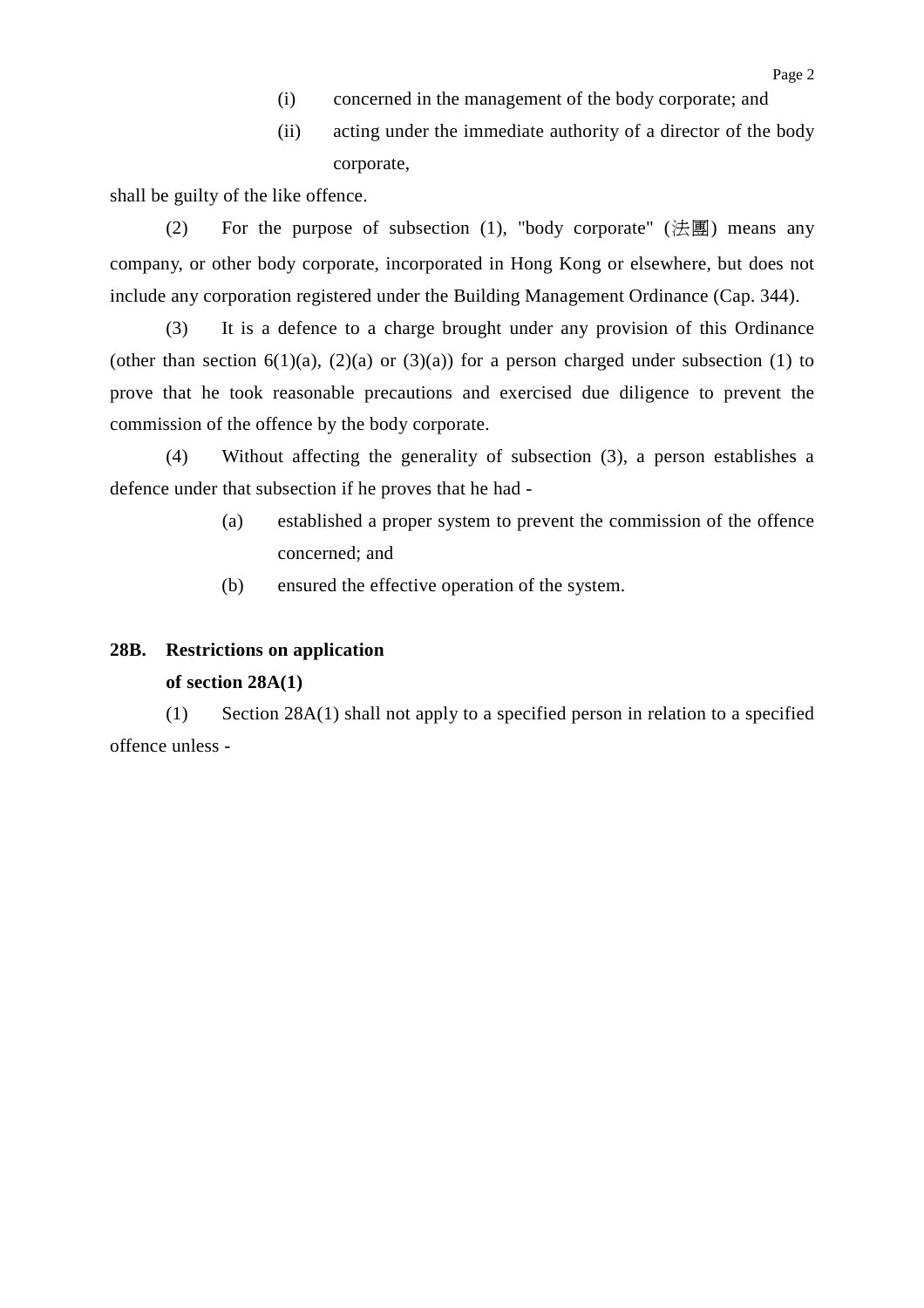- (i) concerned in the management of the body corporate; and
- (ii) acting under the immediate authority of a director of the body corporate,

shall be guilty of the like offence.

(2) For the purpose of subsection (1), "body corporate" (法團) means any company, or other body corporate, incorporated in Hong Kong or elsewhere, but does not include any corporation registered under the Building Management Ordinance (Cap. 344).

(3) It is a defence to a charge brought under any provision of this Ordinance (other than section 6(1)(a), (2)(a) or (3)(a)) for a person charged under subsection (1) to prove that he took reasonable precautions and exercised due diligence to prevent the commission of the offence by the body corporate.

(4) Without affecting the generality of subsection (3), a person establishes a defence under that subsection if he proves that he had -

- (a) established a proper system to prevent the commission of the offence concerned; and
- (b) ensured the effective operation of the system.

#### **28B. Restrictions on application**

#### **of section 28A(1)**

(1) Section 28A(1) shall not apply to a specified person in relation to a specified offence unless -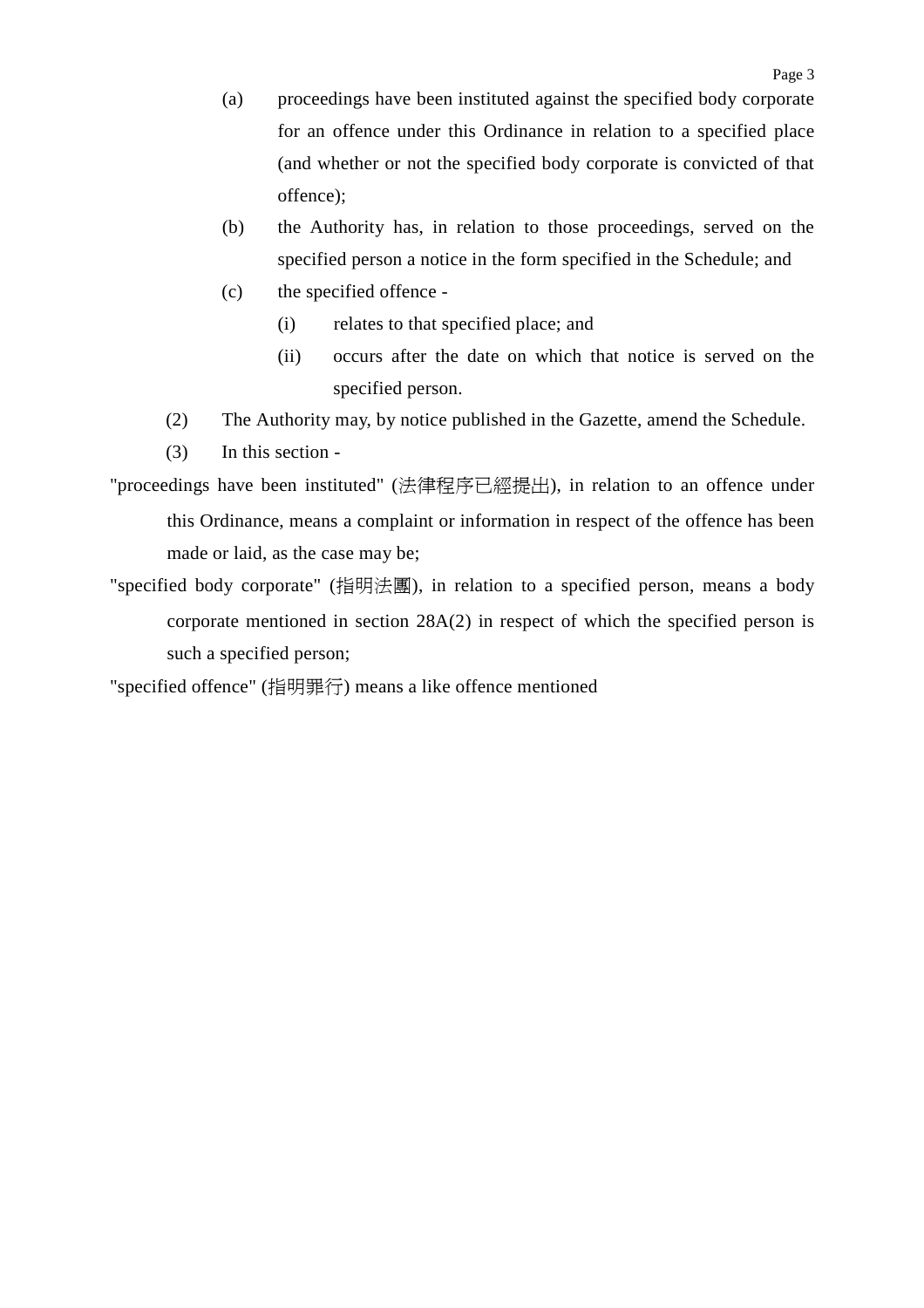- (a) proceedings have been instituted against the specified body corporate for an offence under this Ordinance in relation to a specified place (and whether or not the specified body corporate is convicted of that offence);
- (b) the Authority has, in relation to those proceedings, served on the specified person a notice in the form specified in the Schedule; and
- (c) the specified offence
	- (i) relates to that specified place; and
	- (ii) occurs after the date on which that notice is served on the specified person.
- (2) The Authority may, by notice published in the Gazette, amend the Schedule.
- (3) In this section -
- "proceedings have been instituted" (法律程序已經提出), in relation to an offence under this Ordinance, means a complaint or information in respect of the offence has been made or laid, as the case may be;
- "specified body corporate" (指明法團), in relation to a specified person, means a body corporate mentioned in section 28A(2) in respect of which the specified person is such a specified person;

<sup>&</sup>quot;specified offence" (指明罪行) means a like offence mentioned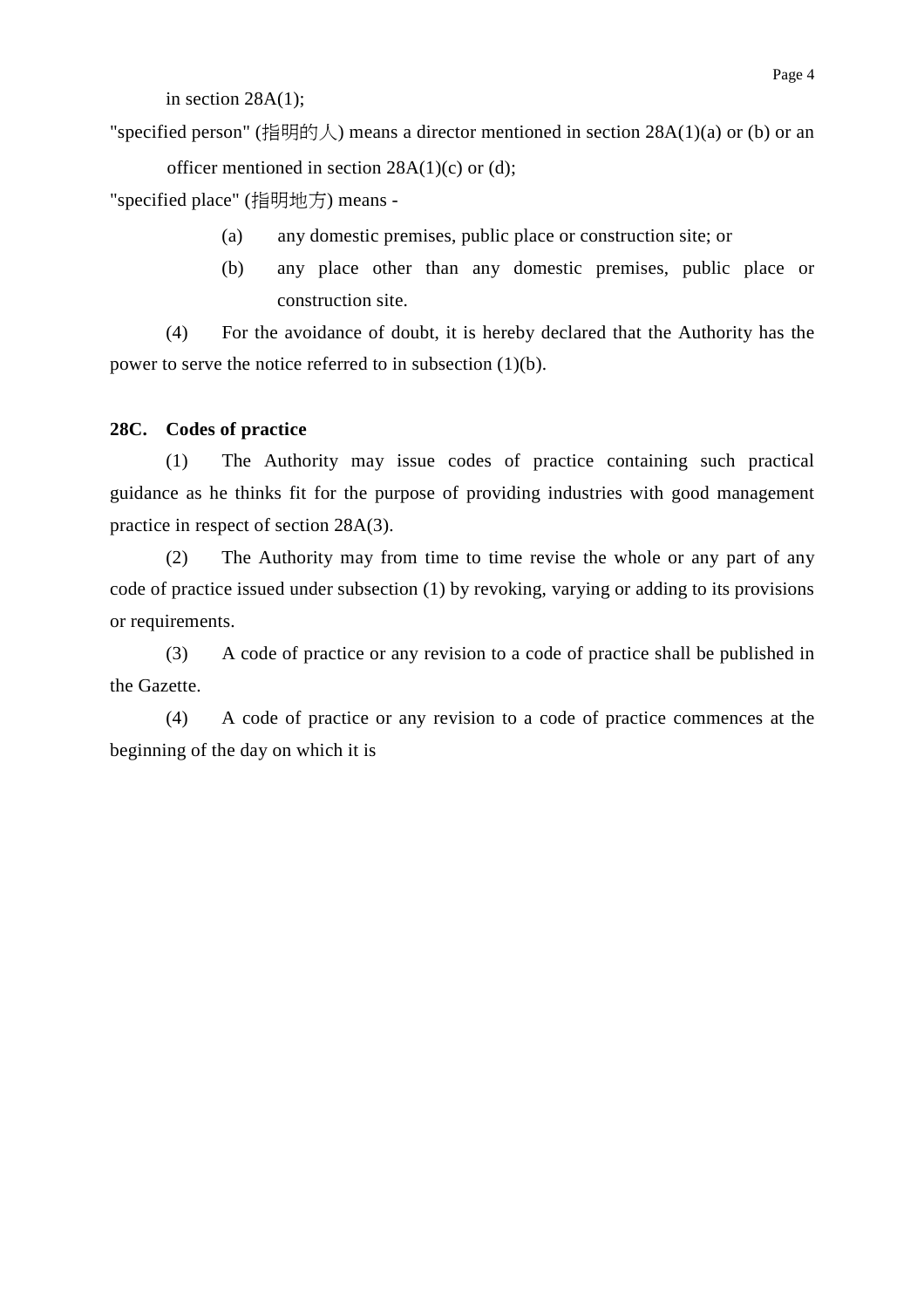in section  $28A(1)$ ;

"specified person" (指明的人) means a director mentioned in section  $28A(1)(a)$  or (b) or an officer mentioned in section  $28A(1)(c)$  or (d);

"specified place" (指明地方) means -

- (a) any domestic premises, public place or construction site; or
- (b) any place other than any domestic premises, public place or construction site.

(4) For the avoidance of doubt, it is hereby declared that the Authority has the power to serve the notice referred to in subsection (1)(b).

### **28C. Codes of practice**

(1) The Authority may issue codes of practice containing such practical guidance as he thinks fit for the purpose of providing industries with good management practice in respect of section 28A(3).

(2) The Authority may from time to time revise the whole or any part of any code of practice issued under subsection (1) by revoking, varying or adding to its provisions or requirements.

(3) A code of practice or any revision to a code of practice shall be published in the Gazette.

(4) A code of practice or any revision to a code of practice commences at the beginning of the day on which it is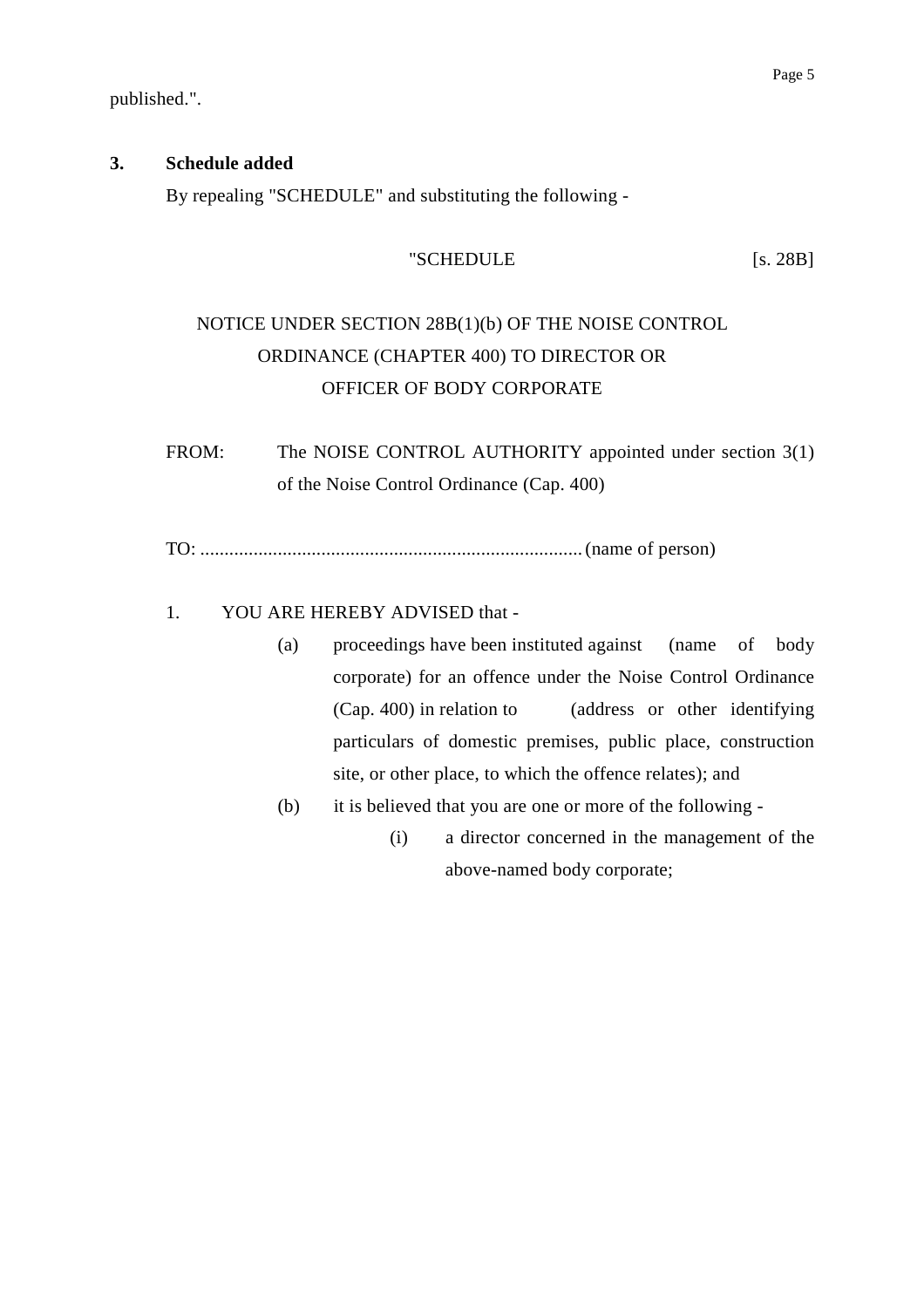published.".

### **3. Schedule added**

By repealing "SCHEDULE" and substituting the following -

## "SCHEDULE [s. 28B]

# NOTICE UNDER SECTION 28B(1)(b) OF THE NOISE CONTROL ORDINANCE (CHAPTER 400) TO DIRECTOR OR OFFICER OF BODY CORPORATE

FROM: The NOISE CONTROL AUTHORITY appointed under section 3(1) of the Noise Control Ordinance (Cap. 400)

TO: ............................................................................... (name of person)

## 1. YOU ARE HEREBY ADVISED that -

- (a) proceedings have been instituted against (name of body corporate) for an offence under the Noise Control Ordinance (Cap. 400) in relation to (address or other identifying particulars of domestic premises, public place, construction site, or other place, to which the offence relates); and
- (b) it is believed that you are one or more of the following
	- (i) a director concerned in the management of the above-named body corporate;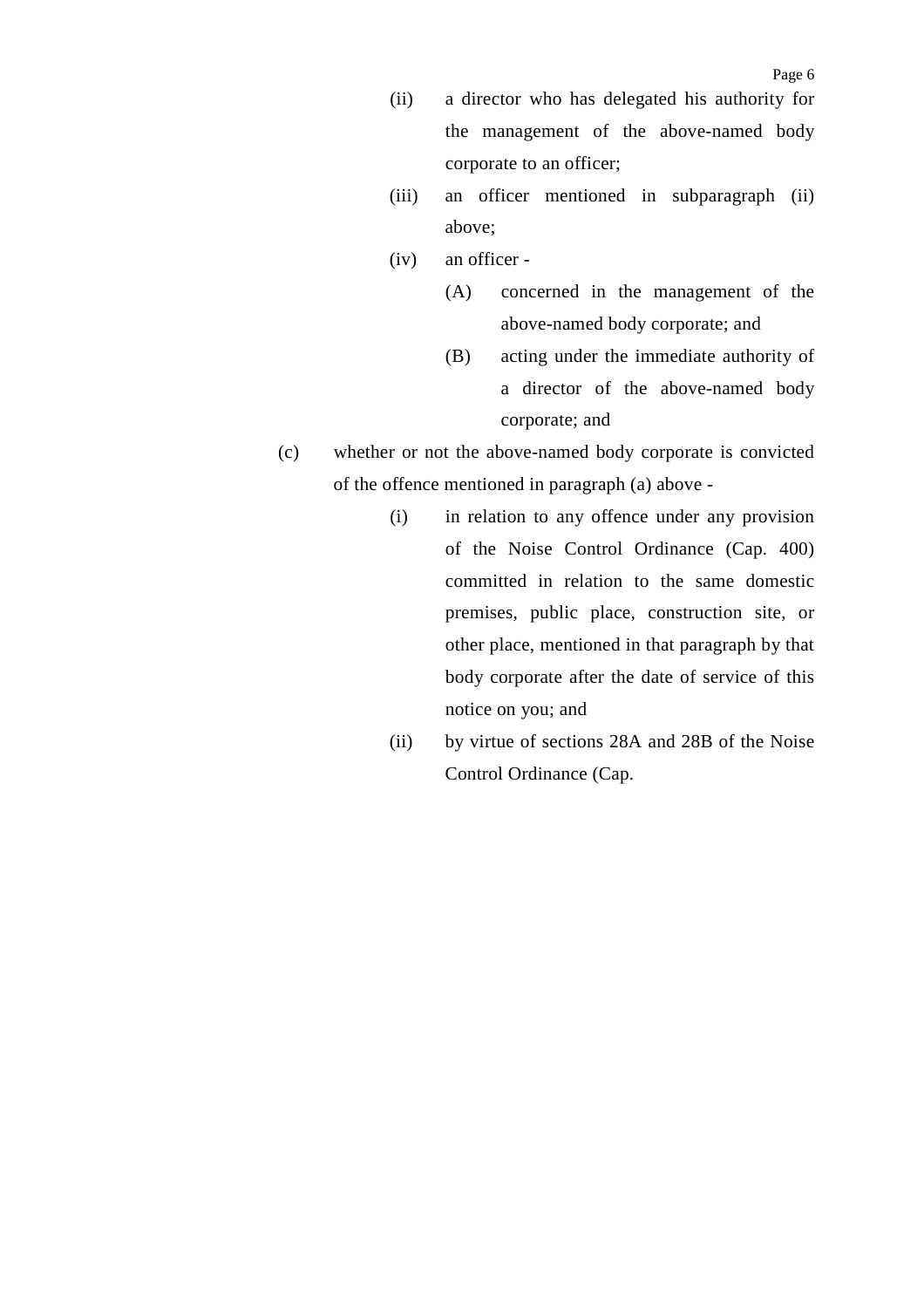- (ii) a director who has delegated his authority for the management of the above-named body corporate to an officer;
- (iii) an officer mentioned in subparagraph (ii) above;
- (iv) an officer
	- (A) concerned in the management of the above-named body corporate; and
	- (B) acting under the immediate authority of a director of the above-named body corporate; and
- (c) whether or not the above-named body corporate is convicted of the offence mentioned in paragraph (a) above -
	- (i) in relation to any offence under any provision of the Noise Control Ordinance (Cap. 400) committed in relation to the same domestic premises, public place, construction site, or other place, mentioned in that paragraph by that body corporate after the date of service of this notice on you; and
	- (ii) by virtue of sections 28A and 28B of the Noise Control Ordinance (Cap.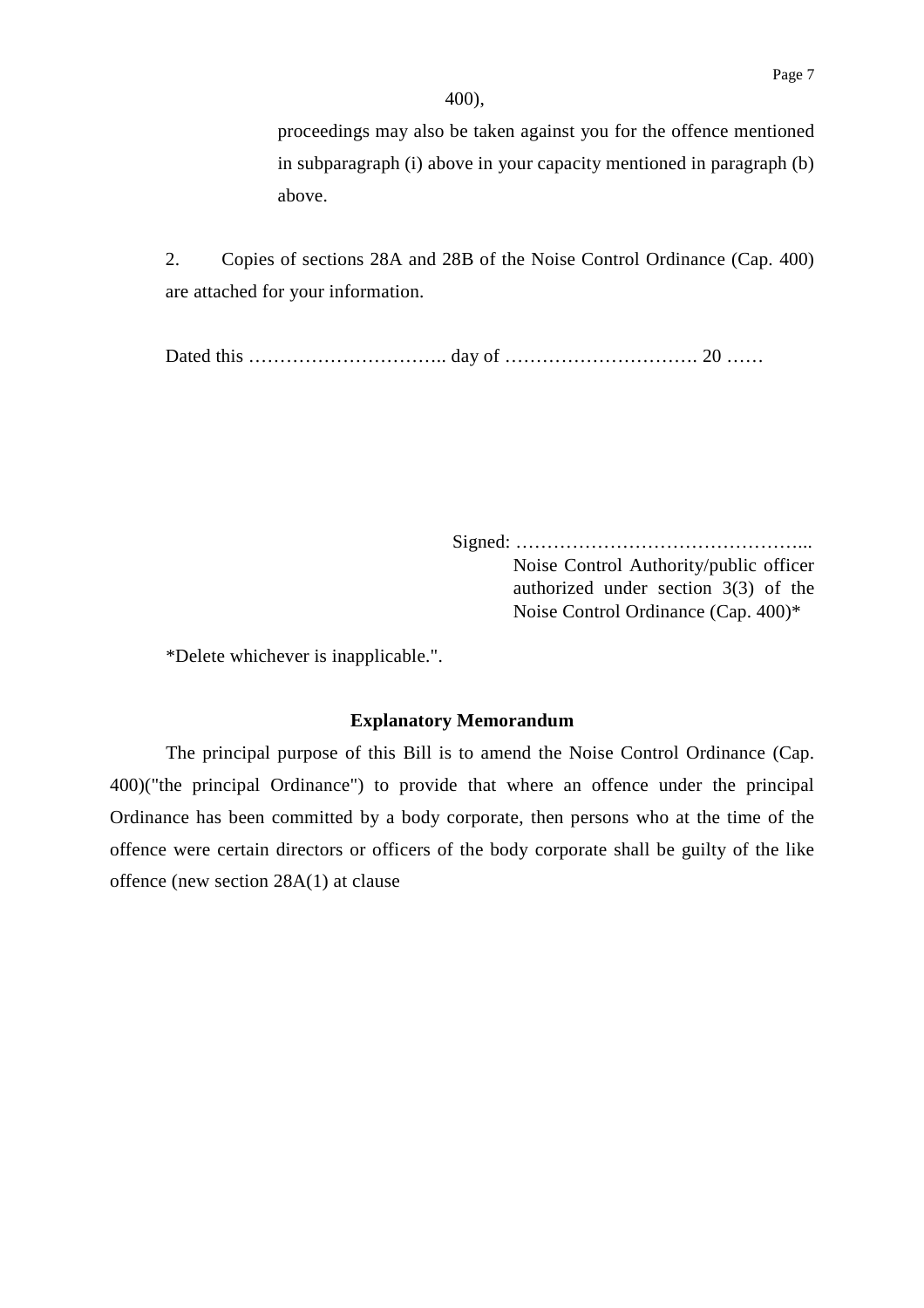proceedings may also be taken against you for the offence mentioned in subparagraph (i) above in your capacity mentioned in paragraph (b) above.

2. Copies of sections 28A and 28B of the Noise Control Ordinance (Cap. 400) are attached for your information.

Dated this ………………………….. day of …………………………. 20 ……

Signed: ………………………………………... Noise Control Authority/public officer authorized under section 3(3) of the Noise Control Ordinance (Cap. 400)\*

\*Delete whichever is inapplicable.".

#### **Explanatory Memorandum**

The principal purpose of this Bill is to amend the Noise Control Ordinance (Cap. 400)("the principal Ordinance") to provide that where an offence under the principal Ordinance has been committed by a body corporate, then persons who at the time of the offence were certain directors or officers of the body corporate shall be guilty of the like offence (new section 28A(1) at clause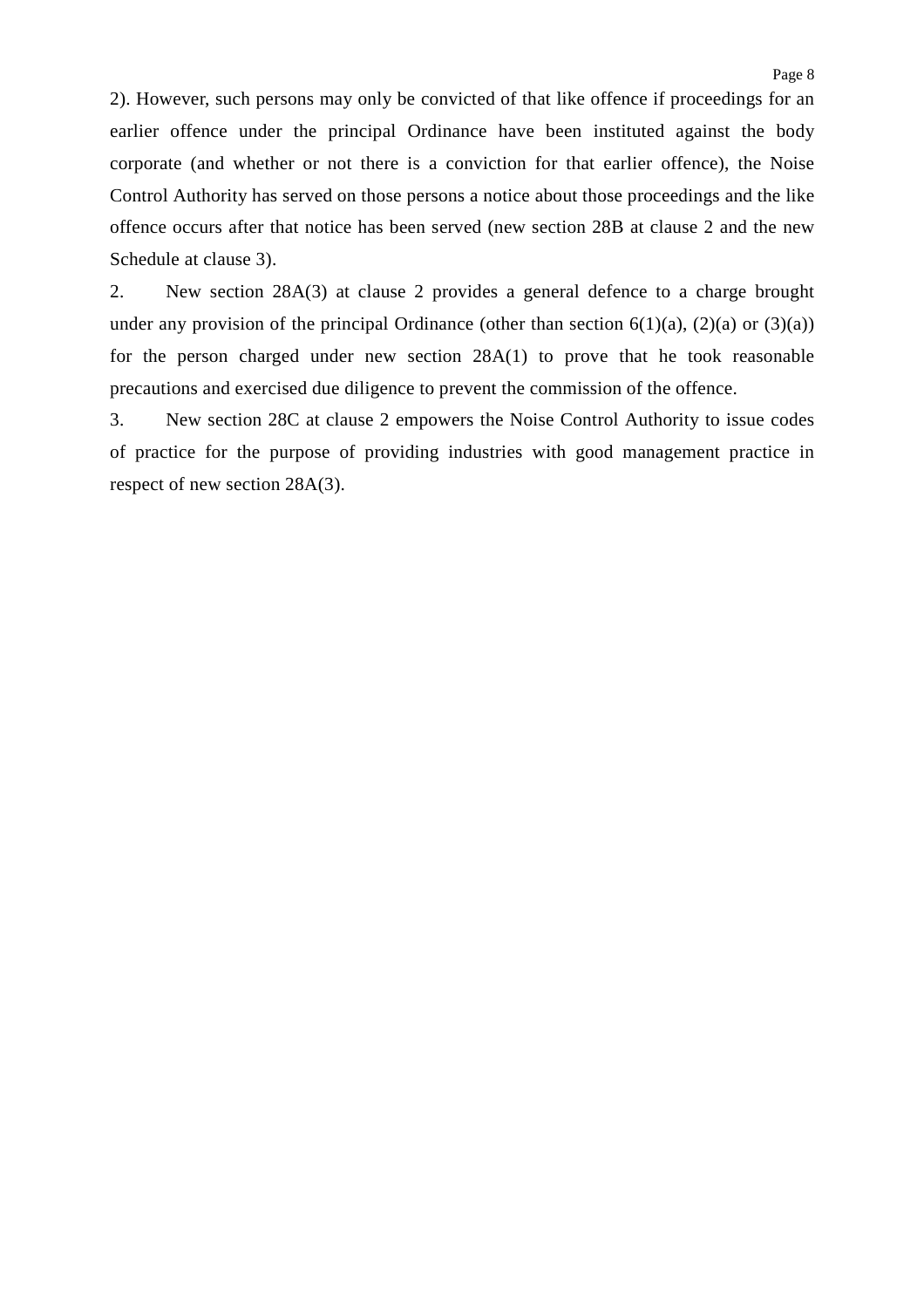2). However, such persons may only be convicted of that like offence if proceedings for an earlier offence under the principal Ordinance have been instituted against the body corporate (and whether or not there is a conviction for that earlier offence), the Noise Control Authority has served on those persons a notice about those proceedings and the like offence occurs after that notice has been served (new section 28B at clause 2 and the new Schedule at clause 3).

2. New section 28A(3) at clause 2 provides a general defence to a charge brought under any provision of the principal Ordinance (other than section  $6(1)(a)$ ,  $(2)(a)$  or  $(3)(a)$ ) for the person charged under new section 28A(1) to prove that he took reasonable precautions and exercised due diligence to prevent the commission of the offence.

3. New section 28C at clause 2 empowers the Noise Control Authority to issue codes of practice for the purpose of providing industries with good management practice in respect of new section 28A(3).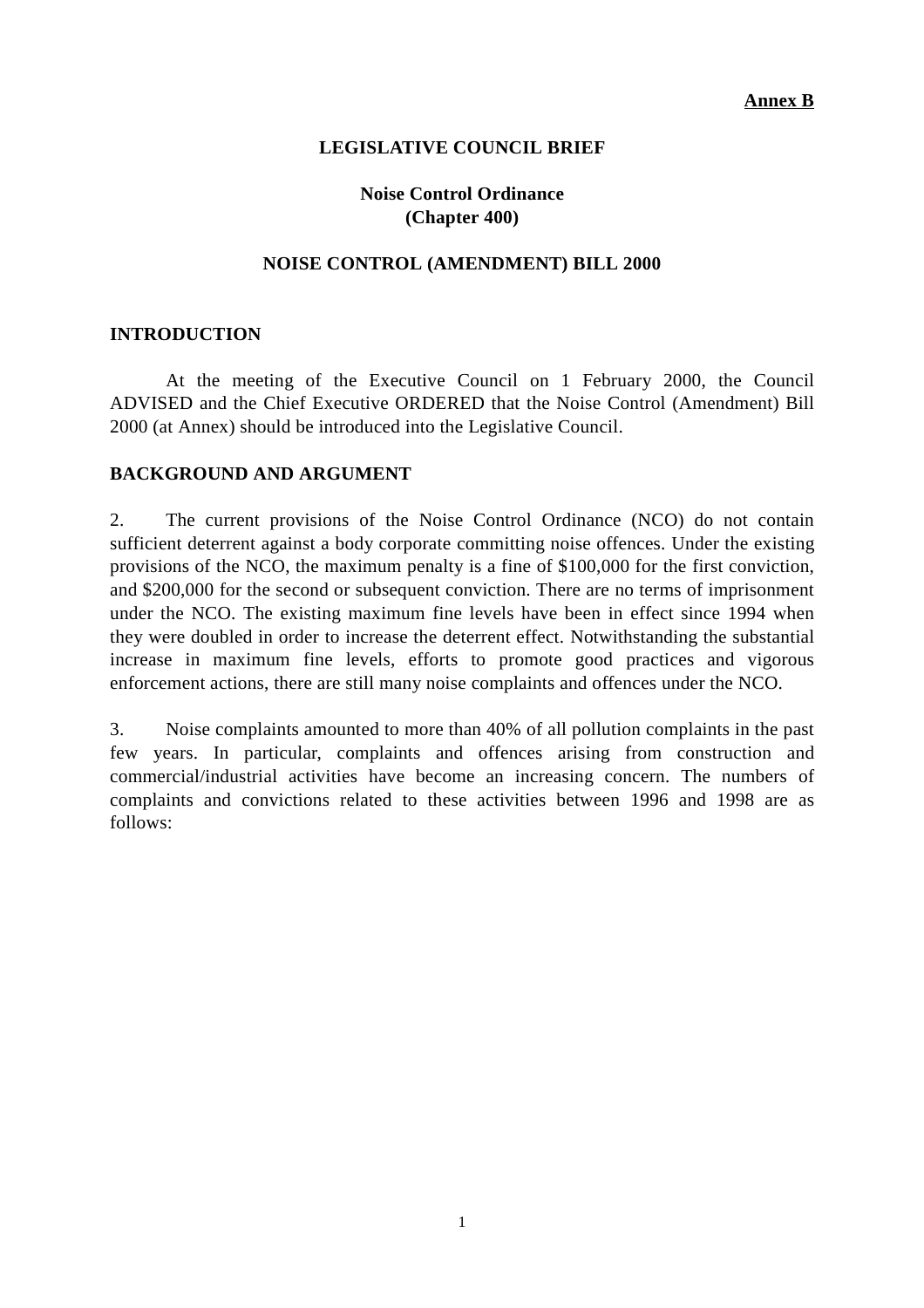### **LEGISLATIVE COUNCIL BRIEF**

## **Noise Control Ordinance (Chapter 400)**

### **NOISE CONTROL (AMENDMENT) BILL 2000**

#### **INTRODUCTION**

At the meeting of the Executive Council on 1 February 2000, the Council ADVISED and the Chief Executive ORDERED that the Noise Control (Amendment) Bill 2000 (at Annex) should be introduced into the Legislative Council.

#### **BACKGROUND AND ARGUMENT**

2. The current provisions of the Noise Control Ordinance (NCO) do not contain sufficient deterrent against a body corporate committing noise offences. Under the existing provisions of the NCO, the maximum penalty is a fine of \$100,000 for the first conviction, and \$200,000 for the second or subsequent conviction. There are no terms of imprisonment under the NCO. The existing maximum fine levels have been in effect since 1994 when they were doubled in order to increase the deterrent effect. Notwithstanding the substantial increase in maximum fine levels, efforts to promote good practices and vigorous enforcement actions, there are still many noise complaints and offences under the NCO.

3. Noise complaints amounted to more than 40% of all pollution complaints in the past few years. In particular, complaints and offences arising from construction and commercial/industrial activities have become an increasing concern. The numbers of complaints and convictions related to these activities between 1996 and 1998 are as follows: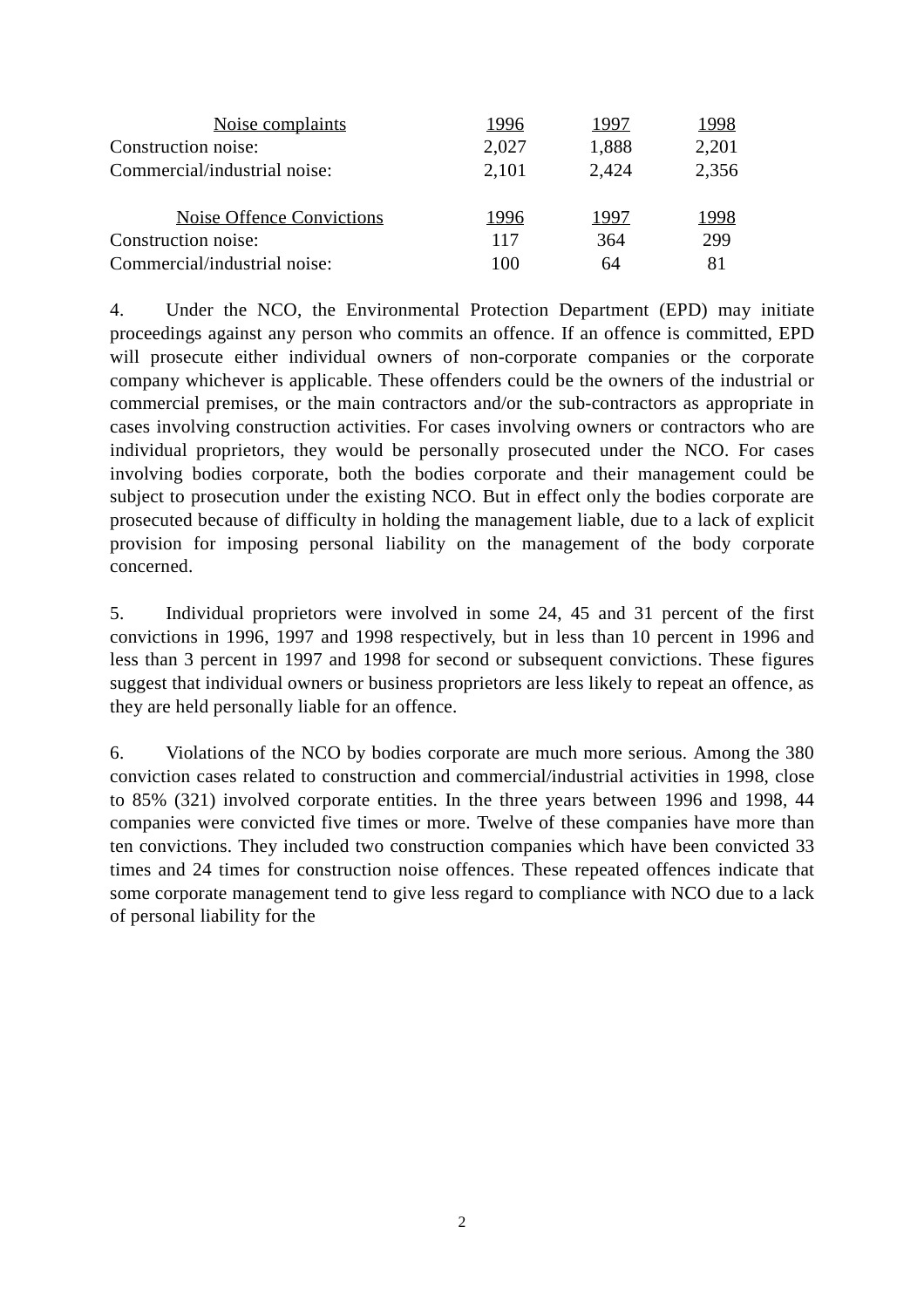| Noise complaints             | 1996  | 1997  | 1998  |
|------------------------------|-------|-------|-------|
| Construction noise:          | 2,027 | 1,888 | 2,201 |
| Commercial/industrial noise: | 2,101 | 2,424 | 2,356 |
|                              |       |       |       |
| Noise Offence Convictions    | 1996  | 1997  | 1998  |
| Construction noise:          | 117   | 364   | 299   |
| Commercial/industrial noise: | 100   | 64    | 81    |

4. Under the NCO, the Environmental Protection Department (EPD) may initiate proceedings against any person who commits an offence. If an offence is committed, EPD will prosecute either individual owners of non-corporate companies or the corporate company whichever is applicable. These offenders could be the owners of the industrial or commercial premises, or the main contractors and/or the sub-contractors as appropriate in cases involving construction activities. For cases involving owners or contractors who are individual proprietors, they would be personally prosecuted under the NCO. For cases involving bodies corporate, both the bodies corporate and their management could be subject to prosecution under the existing NCO. But in effect only the bodies corporate are prosecuted because of difficulty in holding the management liable, due to a lack of explicit provision for imposing personal liability on the management of the body corporate concerned.

5. Individual proprietors were involved in some 24, 45 and 31 percent of the first convictions in 1996, 1997 and 1998 respectively, but in less than 10 percent in 1996 and less than 3 percent in 1997 and 1998 for second or subsequent convictions. These figures suggest that individual owners or business proprietors are less likely to repeat an offence, as they are held personally liable for an offence.

6. Violations of the NCO by bodies corporate are much more serious. Among the 380 conviction cases related to construction and commercial/industrial activities in 1998, close to 85% (321) involved corporate entities. In the three years between 1996 and 1998, 44 companies were convicted five times or more. Twelve of these companies have more than ten convictions. They included two construction companies which have been convicted 33 times and 24 times for construction noise offences. These repeated offences indicate that some corporate management tend to give less regard to compliance with NCO due to a lack of personal liability for the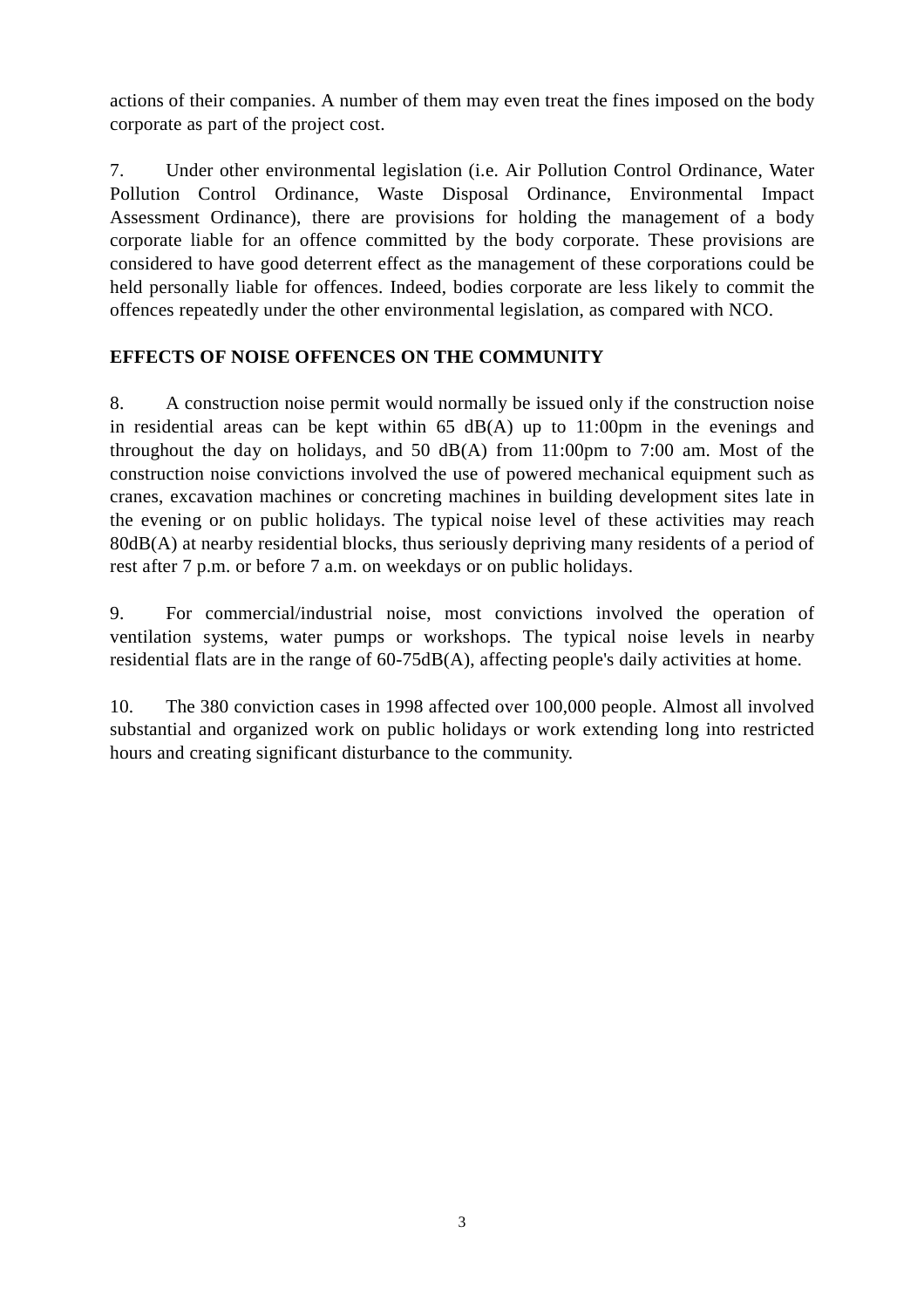actions of their companies. A number of them may even treat the fines imposed on the body corporate as part of the project cost.

7. Under other environmental legislation (i.e. Air Pollution Control Ordinance, Water Pollution Control Ordinance, Waste Disposal Ordinance, Environmental Impact Assessment Ordinance), there are provisions for holding the management of a body corporate liable for an offence committed by the body corporate. These provisions are considered to have good deterrent effect as the management of these corporations could be held personally liable for offences. Indeed, bodies corporate are less likely to commit the offences repeatedly under the other environmental legislation, as compared with NCO.

## **EFFECTS OF NOISE OFFENCES ON THE COMMUNITY**

8. A construction noise permit would normally be issued only if the construction noise in residential areas can be kept within  $65$  dB(A) up to 11:00pm in the evenings and throughout the day on holidays, and 50 dB(A) from 11:00pm to 7:00 am. Most of the construction noise convictions involved the use of powered mechanical equipment such as cranes, excavation machines or concreting machines in building development sites late in the evening or on public holidays. The typical noise level of these activities may reach 80dB(A) at nearby residential blocks, thus seriously depriving many residents of a period of rest after 7 p.m. or before 7 a.m. on weekdays or on public holidays.

9. For commercial/industrial noise, most convictions involved the operation of ventilation systems, water pumps or workshops. The typical noise levels in nearby residential flats are in the range of 60-75dB(A), affecting people's daily activities at home.

10. The 380 conviction cases in 1998 affected over 100,000 people. Almost all involved substantial and organized work on public holidays or work extending long into restricted hours and creating significant disturbance to the community.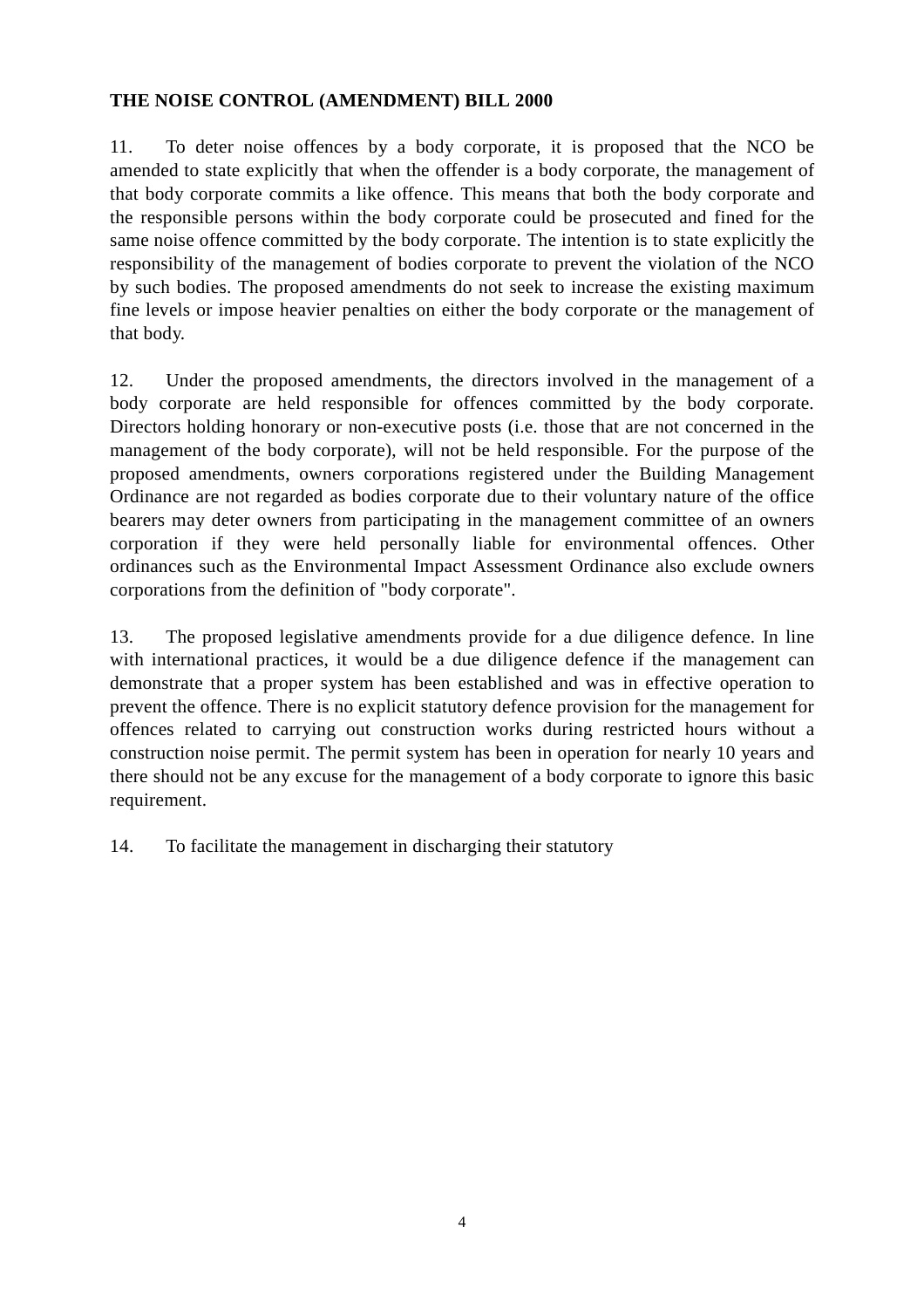## **THE NOISE CONTROL (AMENDMENT) BILL 2000**

11. To deter noise offences by a body corporate, it is proposed that the NCO be amended to state explicitly that when the offender is a body corporate, the management of that body corporate commits a like offence. This means that both the body corporate and the responsible persons within the body corporate could be prosecuted and fined for the same noise offence committed by the body corporate. The intention is to state explicitly the responsibility of the management of bodies corporate to prevent the violation of the NCO by such bodies. The proposed amendments do not seek to increase the existing maximum fine levels or impose heavier penalties on either the body corporate or the management of that body.

12. Under the proposed amendments, the directors involved in the management of a body corporate are held responsible for offences committed by the body corporate. Directors holding honorary or non-executive posts (i.e. those that are not concerned in the management of the body corporate), will not be held responsible. For the purpose of the proposed amendments, owners corporations registered under the Building Management Ordinance are not regarded as bodies corporate due to their voluntary nature of the office bearers may deter owners from participating in the management committee of an owners corporation if they were held personally liable for environmental offences. Other ordinances such as the Environmental Impact Assessment Ordinance also exclude owners corporations from the definition of "body corporate".

13. The proposed legislative amendments provide for a due diligence defence. In line with international practices, it would be a due diligence defence if the management can demonstrate that a proper system has been established and was in effective operation to prevent the offence. There is no explicit statutory defence provision for the management for offences related to carrying out construction works during restricted hours without a construction noise permit. The permit system has been in operation for nearly 10 years and there should not be any excuse for the management of a body corporate to ignore this basic requirement.

14. To facilitate the management in discharging their statutory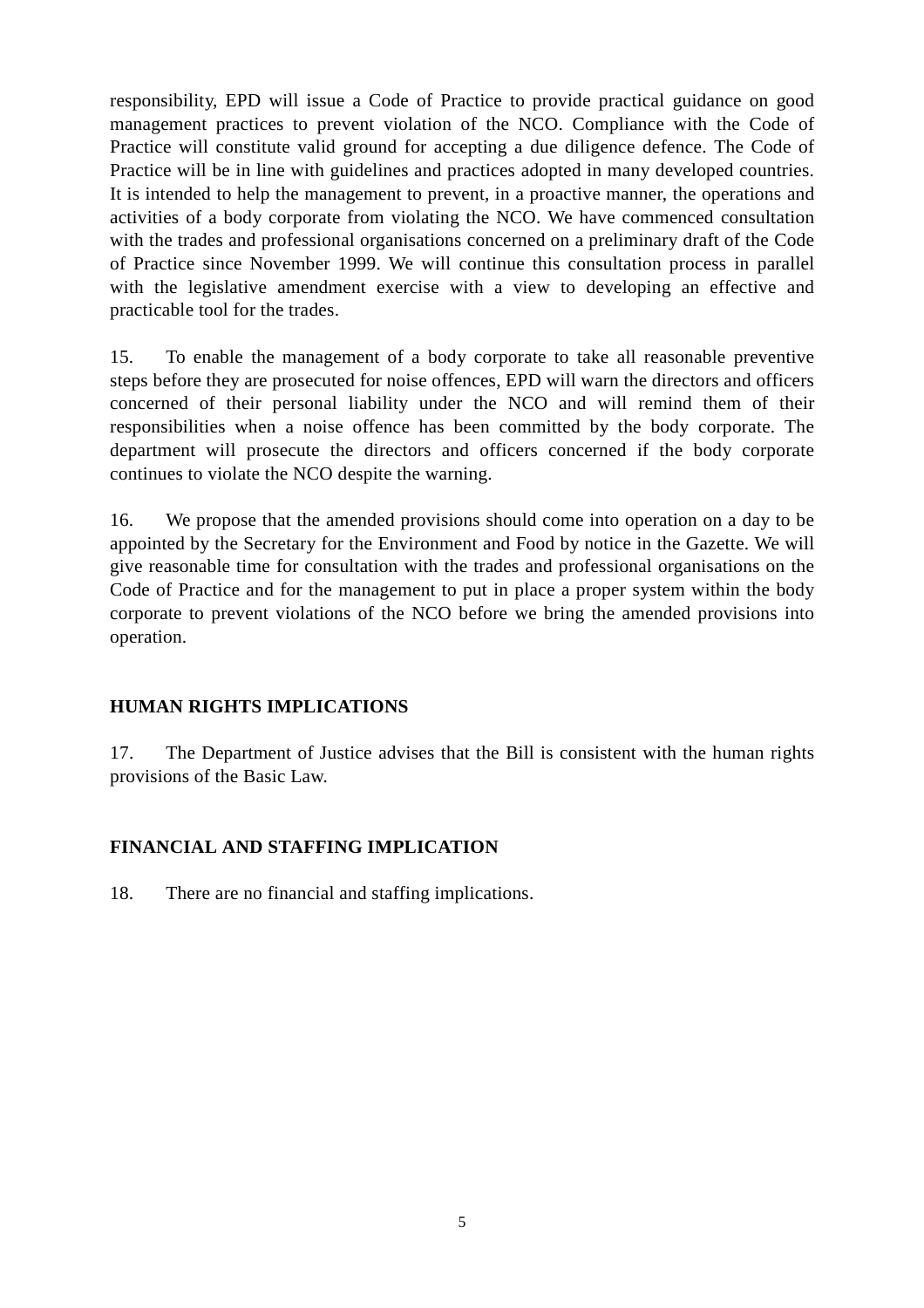responsibility, EPD will issue a Code of Practice to provide practical guidance on good management practices to prevent violation of the NCO. Compliance with the Code of Practice will constitute valid ground for accepting a due diligence defence. The Code of Practice will be in line with guidelines and practices adopted in many developed countries. It is intended to help the management to prevent, in a proactive manner, the operations and activities of a body corporate from violating the NCO. We have commenced consultation with the trades and professional organisations concerned on a preliminary draft of the Code of Practice since November 1999. We will continue this consultation process in parallel with the legislative amendment exercise with a view to developing an effective and practicable tool for the trades.

15. To enable the management of a body corporate to take all reasonable preventive steps before they are prosecuted for noise offences, EPD will warn the directors and officers concerned of their personal liability under the NCO and will remind them of their responsibilities when a noise offence has been committed by the body corporate. The department will prosecute the directors and officers concerned if the body corporate continues to violate the NCO despite the warning.

16. We propose that the amended provisions should come into operation on a day to be appointed by the Secretary for the Environment and Food by notice in the Gazette. We will give reasonable time for consultation with the trades and professional organisations on the Code of Practice and for the management to put in place a proper system within the body corporate to prevent violations of the NCO before we bring the amended provisions into operation.

## **HUMAN RIGHTS IMPLICATIONS**

17. The Department of Justice advises that the Bill is consistent with the human rights provisions of the Basic Law.

## **FINANCIAL AND STAFFING IMPLICATION**

18. There are no financial and staffing implications.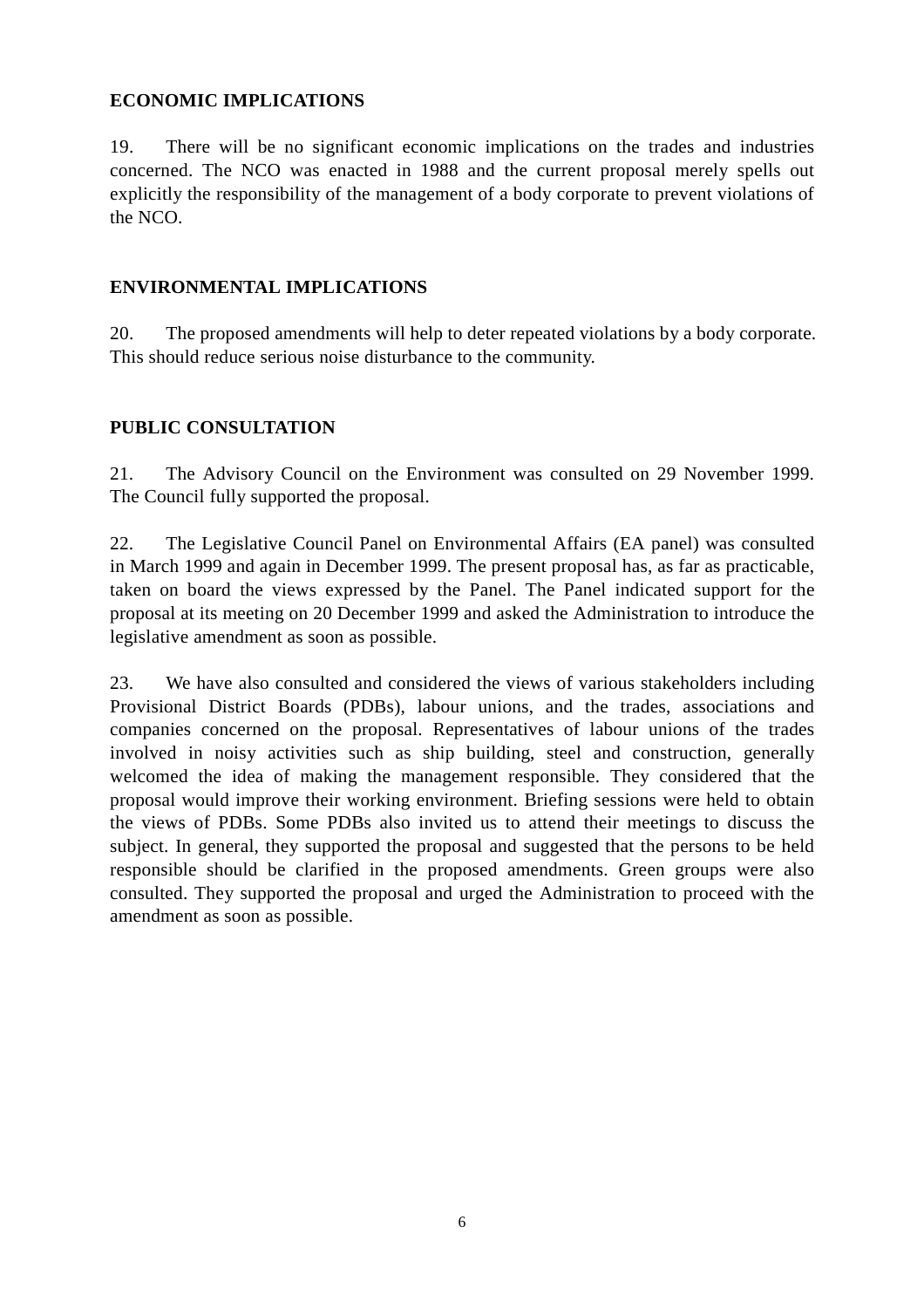## **ECONOMIC IMPLICATIONS**

19. There will be no significant economic implications on the trades and industries concerned. The NCO was enacted in 1988 and the current proposal merely spells out explicitly the responsibility of the management of a body corporate to prevent violations of the NCO.

### **ENVIRONMENTAL IMPLICATIONS**

20. The proposed amendments will help to deter repeated violations by a body corporate. This should reduce serious noise disturbance to the community.

### **PUBLIC CONSULTATION**

21. The Advisory Council on the Environment was consulted on 29 November 1999. The Council fully supported the proposal.

22. The Legislative Council Panel on Environmental Affairs (EA panel) was consulted in March 1999 and again in December 1999. The present proposal has, as far as practicable, taken on board the views expressed by the Panel. The Panel indicated support for the proposal at its meeting on 20 December 1999 and asked the Administration to introduce the legislative amendment as soon as possible.

23. We have also consulted and considered the views of various stakeholders including Provisional District Boards (PDBs), labour unions, and the trades, associations and companies concerned on the proposal. Representatives of labour unions of the trades involved in noisy activities such as ship building, steel and construction, generally welcomed the idea of making the management responsible. They considered that the proposal would improve their working environment. Briefing sessions were held to obtain the views of PDBs. Some PDBs also invited us to attend their meetings to discuss the subject. In general, they supported the proposal and suggested that the persons to be held responsible should be clarified in the proposed amendments. Green groups were also consulted. They supported the proposal and urged the Administration to proceed with the amendment as soon as possible.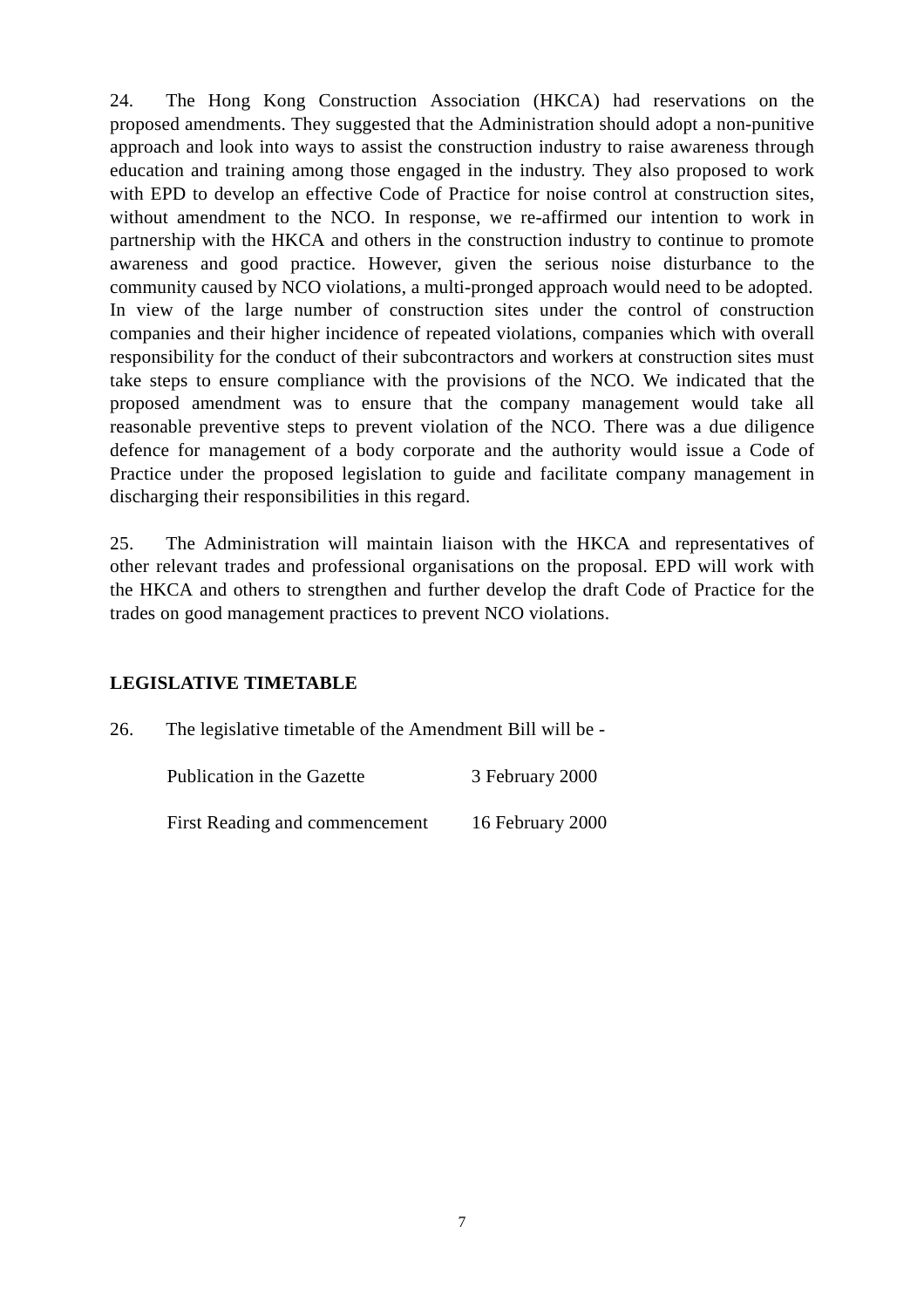24. The Hong Kong Construction Association (HKCA) had reservations on the proposed amendments. They suggested that the Administration should adopt a non-punitive approach and look into ways to assist the construction industry to raise awareness through education and training among those engaged in the industry. They also proposed to work with EPD to develop an effective Code of Practice for noise control at construction sites, without amendment to the NCO. In response, we re-affirmed our intention to work in partnership with the HKCA and others in the construction industry to continue to promote awareness and good practice. However, given the serious noise disturbance to the community caused by NCO violations, a multi-pronged approach would need to be adopted. In view of the large number of construction sites under the control of construction companies and their higher incidence of repeated violations, companies which with overall responsibility for the conduct of their subcontractors and workers at construction sites must take steps to ensure compliance with the provisions of the NCO. We indicated that the proposed amendment was to ensure that the company management would take all reasonable preventive steps to prevent violation of the NCO. There was a due diligence defence for management of a body corporate and the authority would issue a Code of Practice under the proposed legislation to guide and facilitate company management in discharging their responsibilities in this regard.

25. The Administration will maintain liaison with the HKCA and representatives of other relevant trades and professional organisations on the proposal. EPD will work with the HKCA and others to strengthen and further develop the draft Code of Practice for the trades on good management practices to prevent NCO violations.

### **LEGISLATIVE TIMETABLE**

26. The legislative timetable of the Amendment Bill will be -

| Publication in the Gazette     | 3 February 2000  |
|--------------------------------|------------------|
| First Reading and commencement | 16 February 2000 |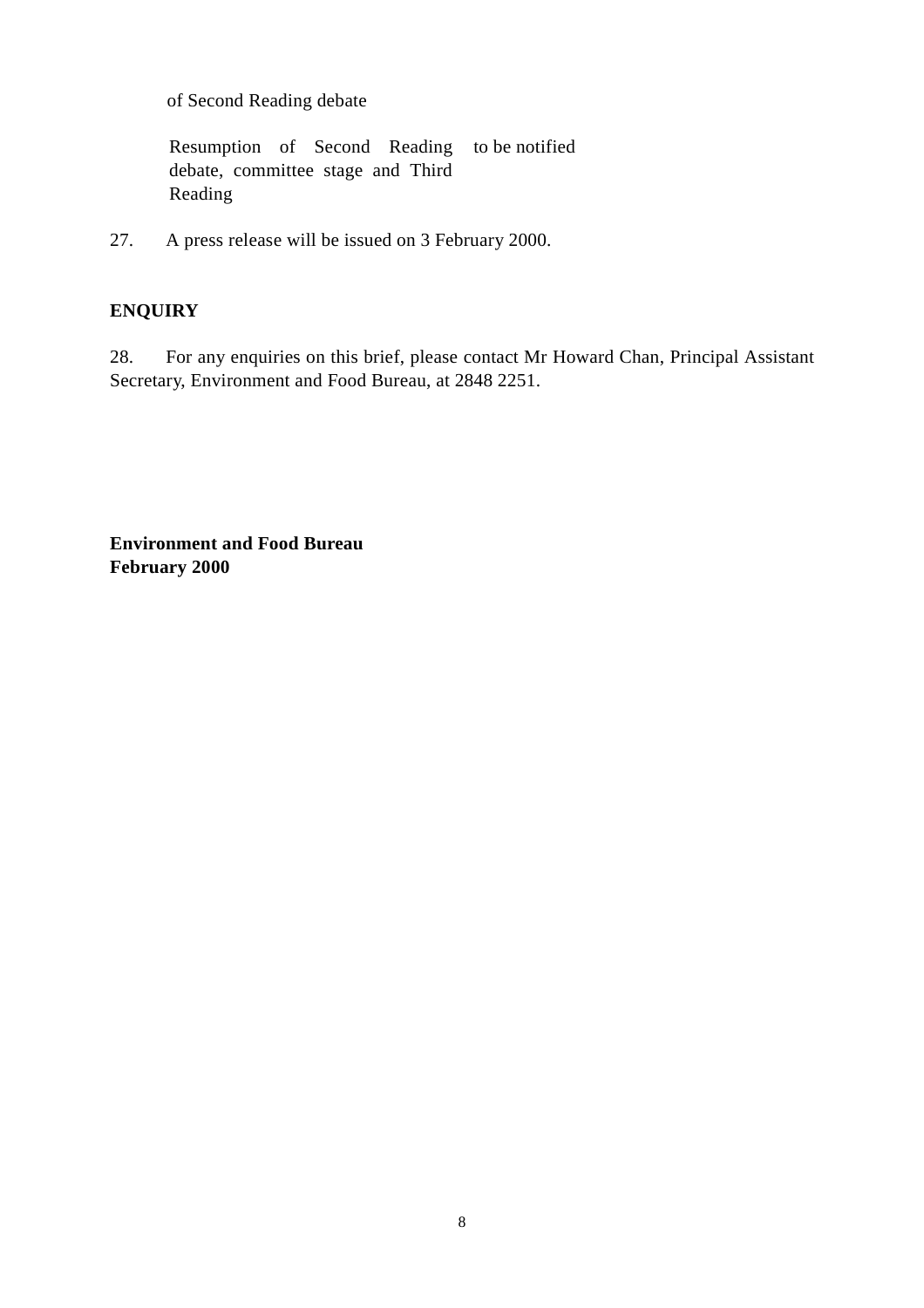of Second Reading debate

Resumption of Second Reading to be notified debate, committee stage and Third Reading

27. A press release will be issued on 3 February 2000.

## **ENQUIRY**

28. For any enquiries on this brief, please contact Mr Howard Chan, Principal Assistant Secretary, Environment and Food Bureau, at 2848 2251.

**Environment and Food Bureau February 2000**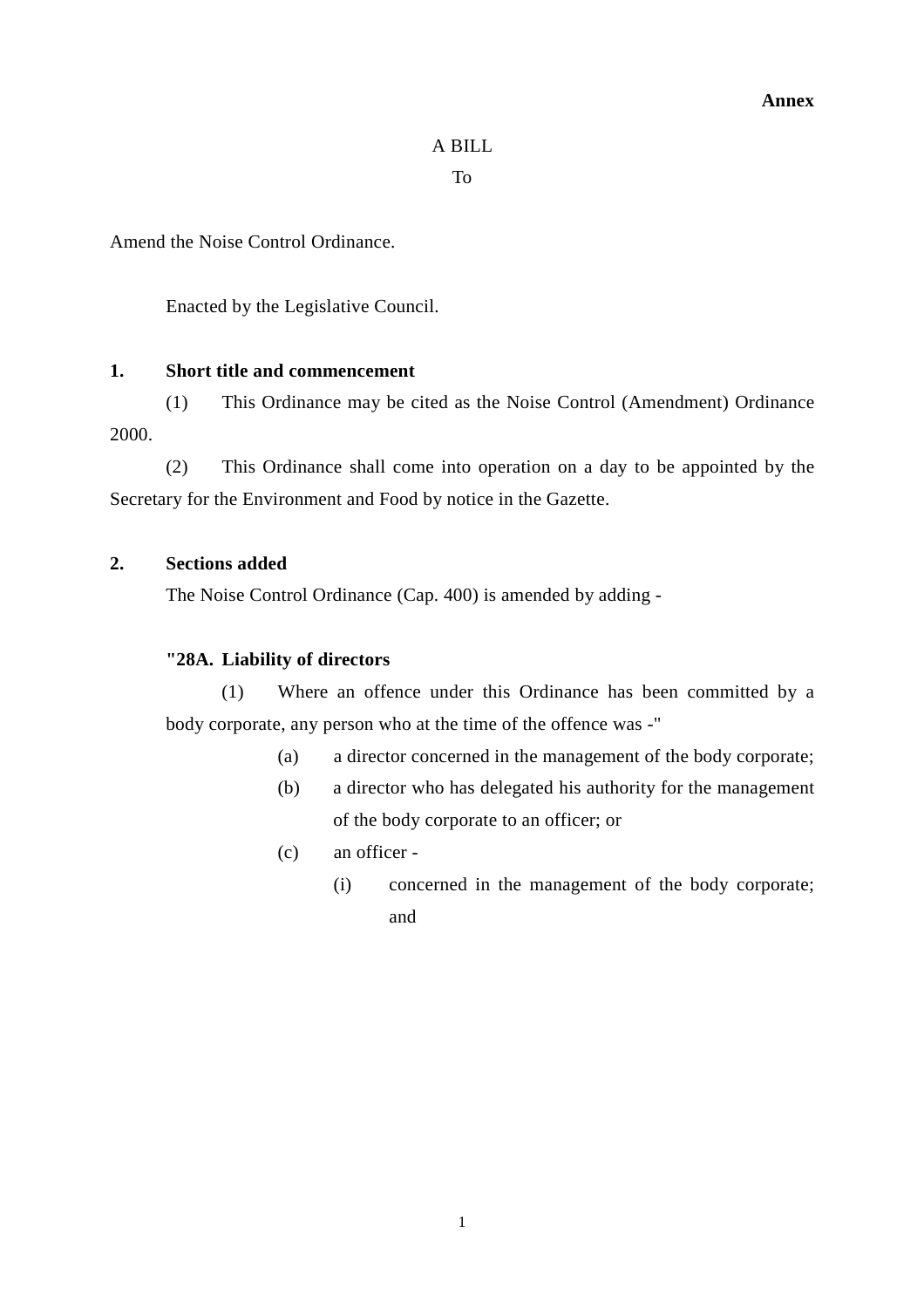### A BILL

To

Amend the Noise Control Ordinance.

Enacted by the Legislative Council.

### **1. Short title and commencement**

(1) This Ordinance may be cited as the Noise Control (Amendment) Ordinance 2000.

(2) This Ordinance shall come into operation on a day to be appointed by the Secretary for the Environment and Food by notice in the Gazette.

#### **2. Sections added**

The Noise Control Ordinance (Cap. 400) is amended by adding -

### **"28A. Liability of directors**

(1) Where an offence under this Ordinance has been committed by a body corporate, any person who at the time of the offence was -"

- (a) a director concerned in the management of the body corporate;
- (b) a director who has delegated his authority for the management of the body corporate to an officer; or
- (c) an officer
	- (i) concerned in the management of the body corporate; and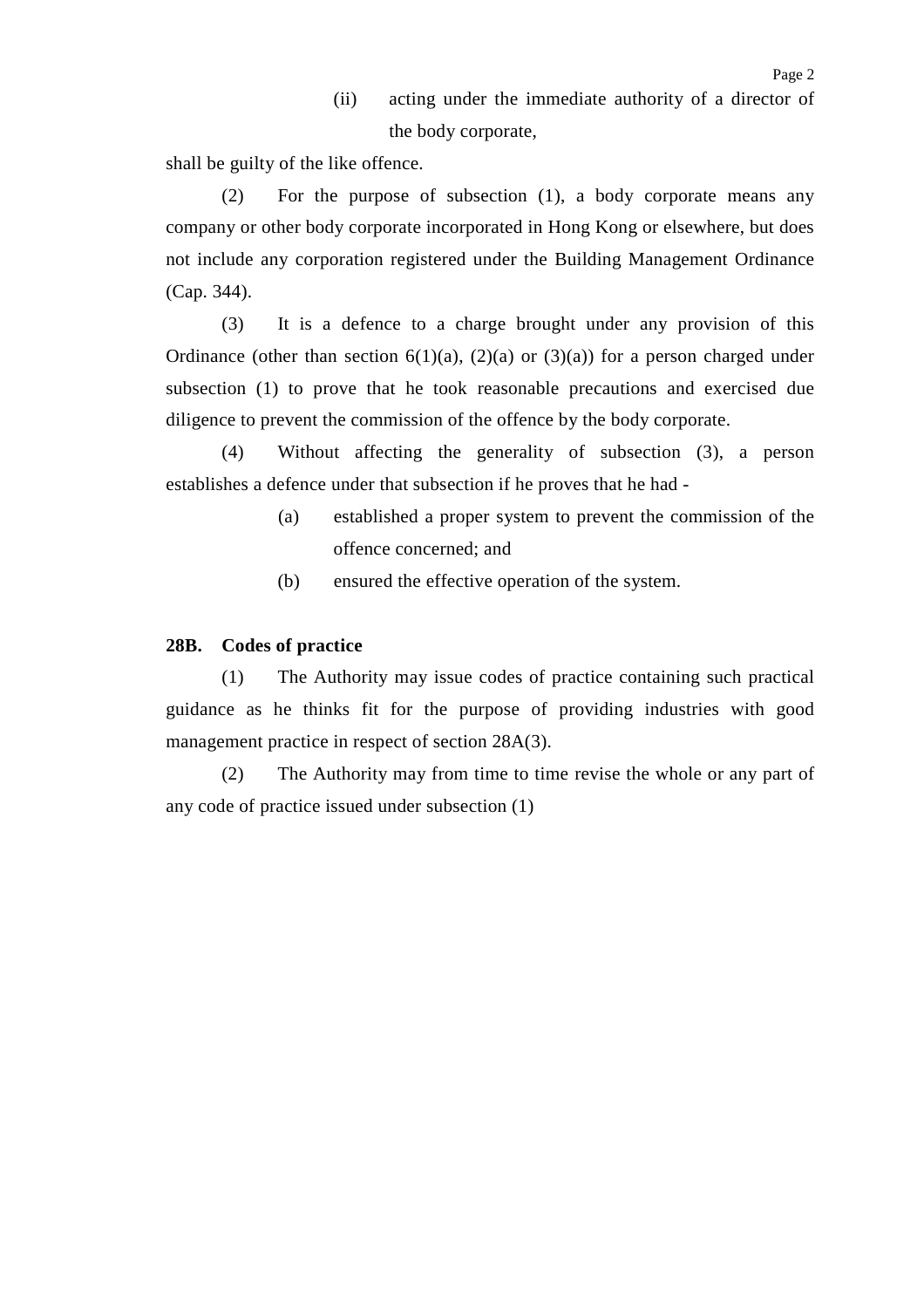(ii) acting under the immediate authority of a director of the body corporate,

shall be guilty of the like offence.

(2) For the purpose of subsection (1), a body corporate means any company or other body corporate incorporated in Hong Kong or elsewhere, but does not include any corporation registered under the Building Management Ordinance (Cap. 344).

(3) It is a defence to a charge brought under any provision of this Ordinance (other than section  $6(1)(a)$ ,  $(2)(a)$  or  $(3)(a)$ ) for a person charged under subsection (1) to prove that he took reasonable precautions and exercised due diligence to prevent the commission of the offence by the body corporate.

(4) Without affecting the generality of subsection (3), a person establishes a defence under that subsection if he proves that he had -

- (a) established a proper system to prevent the commission of the offence concerned; and
- (b) ensured the effective operation of the system.

#### **28B. Codes of practice**

(1) The Authority may issue codes of practice containing such practical guidance as he thinks fit for the purpose of providing industries with good management practice in respect of section 28A(3).

(2) The Authority may from time to time revise the whole or any part of any code of practice issued under subsection (1)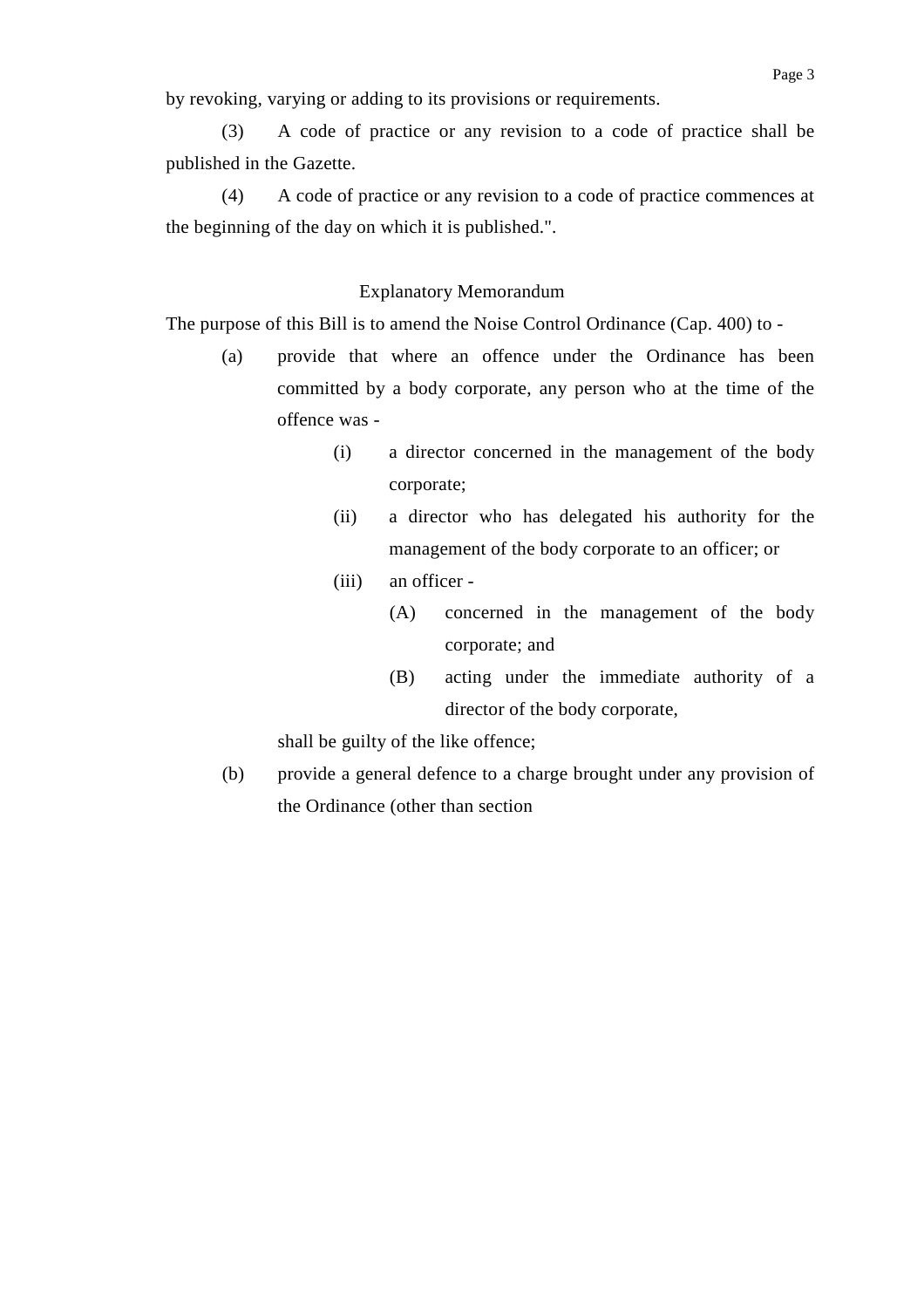by revoking, varying or adding to its provisions or requirements.

(3) A code of practice or any revision to a code of practice shall be published in the Gazette.

(4) A code of practice or any revision to a code of practice commences at the beginning of the day on which it is published.".

#### Explanatory Memorandum

The purpose of this Bill is to amend the Noise Control Ordinance (Cap. 400) to -

- (a) provide that where an offence under the Ordinance has been committed by a body corporate, any person who at the time of the offence was -
	- (i) a director concerned in the management of the body corporate;
	- (ii) a director who has delegated his authority for the management of the body corporate to an officer; or
	- (iii) an officer
		- (A) concerned in the management of the body corporate; and
		- (B) acting under the immediate authority of a director of the body corporate,

shall be guilty of the like offence;

(b) provide a general defence to a charge brought under any provision of the Ordinance (other than section